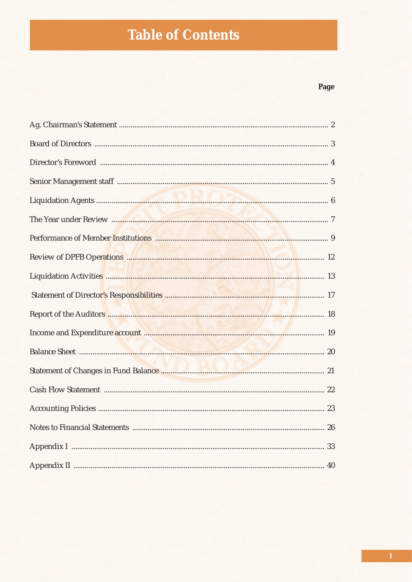## **Table of Contents**

### Page

| Report of the Auditors <b>Manual Manual Communities</b> and the set of the Auditors <b>Manual Communities</b> and the set of the Auditors <b>Communities</b> and the set of the Auditors <b>Communities</b> and the Set of the Auditors <b>Communiti</b> |  |
|----------------------------------------------------------------------------------------------------------------------------------------------------------------------------------------------------------------------------------------------------------|--|
|                                                                                                                                                                                                                                                          |  |
|                                                                                                                                                                                                                                                          |  |
|                                                                                                                                                                                                                                                          |  |
|                                                                                                                                                                                                                                                          |  |
|                                                                                                                                                                                                                                                          |  |
|                                                                                                                                                                                                                                                          |  |
|                                                                                                                                                                                                                                                          |  |
|                                                                                                                                                                                                                                                          |  |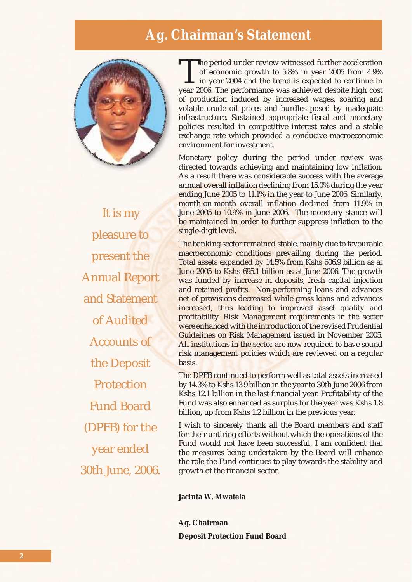### **Ag. Chairman's Statement**



It is my pleasure to present the Annual Report and Statement of Audited Accounts of the Deposit **Protection** Fund Board (DPFB) for the year ended 30th June, 2006.

The period under review witnessed further acceleration of economic growth to 5.8% in year 2005 from 4.9% I in year 2004 and the trend is expected to continue in year 2006. The performance was achieved despite high cost of production induced by increased wages, soaring and volatile crude oil prices and hurdles posed by inadequate infrastructure. Sustained appropriate fiscal and monetary policies resulted in competitive interest rates and a stable exchange rate which provided a conducive macroeconomic environment for investment.

Monetary policy during the period under review was directed towards achieving and maintaining low inflation. As a result there was considerable success with the average annual overall inflation declining from 15.0% during the year ending June 2005 to 11.1% in the year to June 2006. Similarly, month-on-month overall inflation declined from 11.9% in June 2005 to 10.9% in June 2006. The monetary stance will be maintained in order to further suppress inflation to the single-digit level.

The banking sector remained stable, mainly due to favourable macroeconomic conditions prevailing during the period. Total assets expanded by 14.5% from Kshs 606.9 billion as at June 2005 to Kshs 695.1 billion as at June 2006. The growth was funded by increase in deposits, fresh capital injection and retained profits. Non-performing loans and advances net of provisions decreased while gross loans and advances increased, thus leading to improved asset quality and profitability. Risk Management requirements in the sector were enhanced with the introduction of the revised Prudential Guidelines on Risk Management issued in November 2005. All institutions in the sector are now required to have sound risk management policies which are reviewed on a regular basis.

The DPFB continued to perform well as total assets increased by 14.3% to Kshs 13.9 billion in the year to 30th June 2006 from Kshs 12.1 billion in the last financial year. Profitability of the Fund was also enhanced as surplus for the year was Kshs 1.8 billion, up from Kshs 1.2 billion in the previous year.

I wish to sincerely thank all the Board members and staff for their untiring efforts without which the operations of the Fund would not have been successful. I am confident that the measures being undertaken by the Board will enhance the role the Fund continues to play towards the stability and growth of the financial sector.

**Jacinta W. Mwatela**

**Ag. Chairman Deposit Protection Fund Board**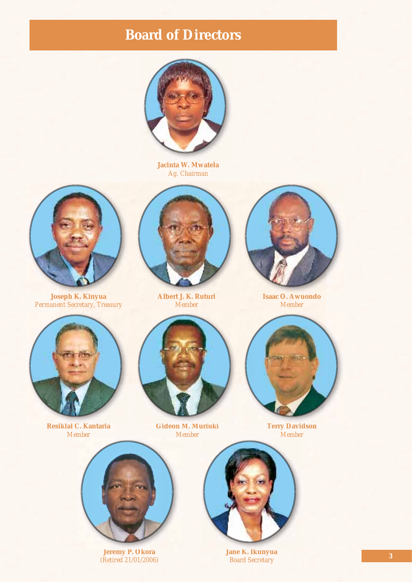### **Board of Directors**



**Jacinta W. Mwatela** *Ag. Chairman*



**Joseph K. Kinyua** *Permanent Secretary, Treasury*



**Albert J. K. Ruturi** *Member*



**Isaac O. Awuondo** *Member*



**Resiklal C. Kantaria** *Member*



**Gideon M. Muriuki** *Member*



**Terry Davidson** *Member*



**Jeremy P. Okora** *(Retired 21/01/2006)*



**Jane K. Ikunyua** *Board Secretary*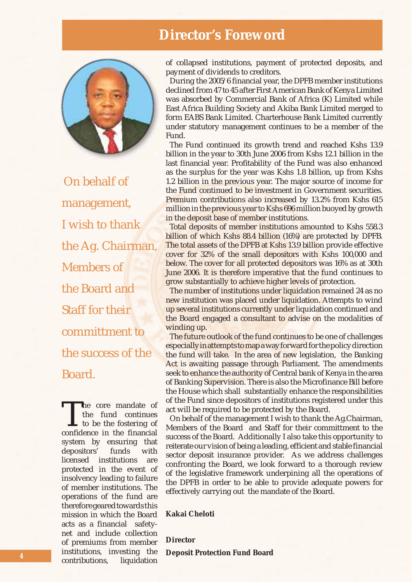### **Director's Foreword**



On behalf of management, I wish to thank the Ag. Chairman, Members of the Board and Staff for their committment to the success of the Board.

The core mandate of<br>the fund continues<br>to be the fostering of<br>confidence in the financial the fund continues to be the fostering of confidence in the financial system by ensuring that depositors' funds with licensed institutions are protected in the event of insolvency leading to failure of member institutions. The operations of the fund are therefore geared towards this mission in which the Board acts as a financial safetynet and include collection of premiums from member institutions, investing the contributions, liquidation

of collapsed institutions, payment of protected deposits, and payment of dividends to creditors.

During the 2005/6 financial year, the DPFB member institutions declined from 47 to 45 after First American Bank of Kenya Limited was absorbed by Commercial Bank of Africa (K) Limited while East Africa Building Society and Akiba Bank Limited merged to form EABS Bank Limited. Charterhouse Bank Limited currently under statutory management continues to be a member of the Fund.

The Fund continued its growth trend and reached Kshs 13.9 billion in the year to 30th June 2006 from Kshs 12.1 billion in the last financial year. Profitability of the Fund was also enhanced as the surplus for the year was Kshs 1.8 billion, up from Kshs 1.2 billion in the previous year. The major source of income for the Fund continued to be investment in Government securities. Premium contributions also increased by 13.2% from Kshs 615 million in the previous year to Kshs 696 million buoyed by growth in the deposit base of member institutions.

Total deposits of member institutions amounted to Kshs 558.3 billion of which Kshs 88.4 billion (16%) are protected by DPFB. The total assets of the DPFB at Kshs 13.9 billion provide effective cover for 32% of the small depositors with Kshs 100,000 and below. The cover for all protected depositors was 16% as at 30th June 2006. It is therefore imperative that the fund continues to grow substantially to achieve higher levels of protection.

The number of institutions under liquidation remained 24 as no new institution was placed under liquidation. Attempts to wind up several institutions currently under liquidation continued and the Board engaged a consultant to advise on the modalities of winding up.

The future outlook of the fund continues to be one of challenges especially in attempts to map a way forward for the policy direction the fund will take. In the area of new legislation, the Banking Act is awaiting passage through Parliament. The amendments seek to enhance the authority of Central bank of Kenya in the area of Banking Supervision. There is also the Microfinance Bill before the House which shall substantially enhance the responsibilities of the Fund since depositors of institutions registered under this act will be required to be protected by the Board.

On behalf of the management I wish to thank the Ag.Chairman, Members of the Board and Staff for their committment to the success of the Board. Additionally I also take this opportunity to reiterate our vision of being a leading, efficient and stable financial sector deposit insurance provider. As we address challenges confronting the Board, we look forward to a thorough review of the legislative framework underpining all the operations of the DPFB in order to be able to provide adequate powers for effectively carrying out the mandate of the Board.

### **Kakai Cheloti**

**Director**

**Deposit Protection Fund Board**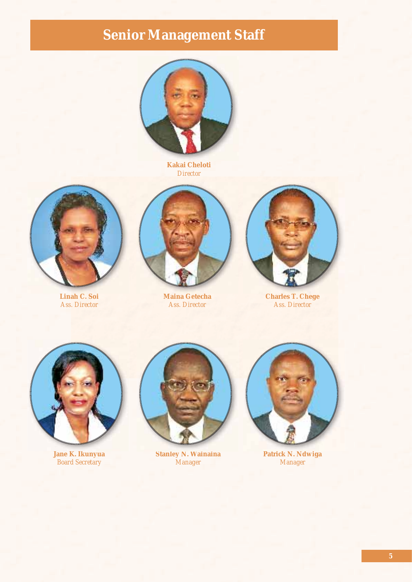# **Senior Management Staff**



**Kakai Cheloti** *Director*



**Linah C. Soi** *Ass. Director*



**Maina Getecha** *Ass. Director*



**Charles T. Chege** *Ass. Director*



**Jane K. Ikunyua** *Board Secretary*



**Stanley N. Wainaina** *Manager*



**Patrick N. Ndwiga** *Manager*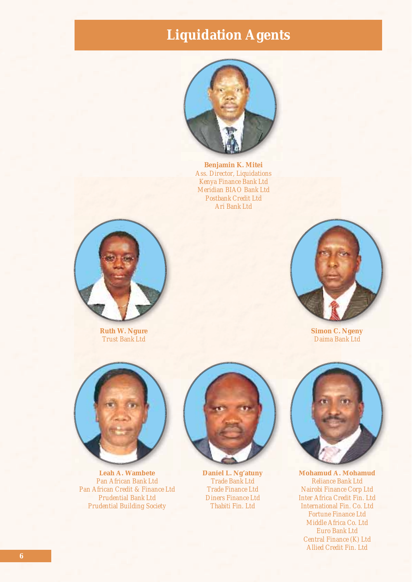## **Liquidation Agents**



**Benjamin K. Mitei** *Ass. Director, Liquidations Kenya Finance Bank Ltd Meridian BIAO Bank Ltd Postbank Credit Ltd Ari Bank Ltd*



**Ruth W. Ngure** *Trust Bank Ltd*



**Simon C. Ngeny** *Daima Bank Ltd*



**Leah A. Wambete** *Pan African Bank Ltd Pan African Credit & Finance Ltd Prudential Bank Ltd Prudential Building Society*



**Daniel L. Ng'atuny** *Trade Bank Ltd Trade Finance Ltd Diners Finance Ltd Thabiti Fin. Ltd*



**Mohamud A. Mohamud** *Reliance Bank Ltd Nairobi Finance Corp Ltd Inter Africa Credit Fin. Ltd International Fin. Co. Ltd Fortune Finance Ltd Middle Africa Co. Ltd Euro Bank Ltd Central Finance (K) Ltd Allied Credit Fin. Ltd*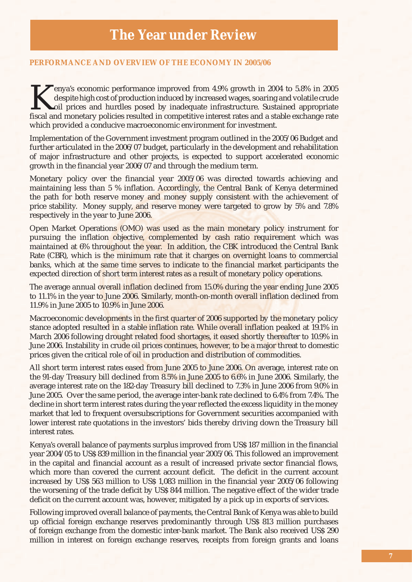### **PERFORMANCE AND OVERVIEW OF THE ECONOMY IN 2005/06**

Experience improved from 4.9% growth in 2004 to 5.8% in 2005<br>despite high cost of production induced by increased wages, soaring and volatile crude<br>oil prices and hurdles posed by inadequate infrastructure. Sustained appro despite high cost of production induced by increased wages, soaring and volatile crude oil prices and hurdles posed by inadequate infrastructure. Sustained appropriate fiscal and monetary policies resulted in competitive interest rates and a stable exchange rate which provided a conducive macroeconomic environment for investment.

Implementation of the Government investment program outlined in the 2005/06 Budget and further articulated in the 2006/07 budget, particularly in the development and rehabilitation of major infrastructure and other projects, is expected to support accelerated economic growth in the financial year 2006/07 and through the medium term.

Monetary policy over the financial year 2005/06 was directed towards achieving and maintaining less than 5 % inflation. Accordingly, the Central Bank of Kenya determined the path for both reserve money and money supply consistent with the achievement of price stability. Money supply, and reserve money were targeted to grow by 5% and 7.8% respectively in the year to June 2006.

Open Market Operations (OMO) was used as the main monetary policy instrument for pursuing the inflation objective, complemented by cash ratio requirement which was maintained at 6% throughout the year. In addition, the CBK introduced the Central Bank Rate (CBR), which is the minimum rate that it charges on overnight loans to commercial banks, which at the same time serves to indicate to the financial market participants the expected direction of short term interest rates as a result of monetary policy operations.

The average annual overall inflation declined from 15.0% during the year ending June 2005 to 11.1% in the year to June 2006. Similarly, month-on-month overall inflation declined from 11.9% in June 2005 to 10.9% in June 2006.

Macroeconomic developments in the first quarter of 2006 supported by the monetary policy stance adopted resulted in a stable inflation rate. While overall inflation peaked at 19.1% in March 2006 following drought related food shortages, it eased shortly thereafter to 10.9% in June 2006. Instability in crude oil prices continues, however, to be a major threat to domestic prices given the critical role of oil in production and distribution of commodities.

All short term interest rates eased from June 2005 to June 2006. On average, interest rate on the 91-day Treasury bill declined from 8.5% in June 2005 to 6.6% in June 2006. Similarly, the average interest rate on the 182-day Treasury bill declined to 7.3% in June 2006 from 9.0% in June 2005. Over the same period, the average inter-bank rate declined to 6.4% from 7.4%. The decline in short term interest rates during the year reflected the excess liquidity in the money market that led to frequent oversubscriptions for Government securities accompanied with lower interest rate quotations in the investors' bids thereby driving down the Treasury bill interest rates.

Kenya's overall balance of payments surplus improved from US\$ 187 million in the financial year 2004/05 to US\$ 839 million in the financial year 2005/06. This followed an improvement in the capital and financial account as a result of increased private sector financial flows, which more than covered the current account deficit. The deficit in the current account increased by US\$ 563 million to US\$ 1,083 million in the financial year 2005/06 following the worsening of the trade deficit by US\$ 844 million. The negative effect of the wider trade deficit on the current account was, however, mitigated by a pick up in exports of services.

Following improved overall balance of payments, the Central Bank of Kenya was able to build up official foreign exchange reserves predominantly through US\$ 813 million purchases of foreign exchange from the domestic inter-bank market. The Bank also received US\$ 290 million in interest on foreign exchange reserves, receipts from foreign grants and loans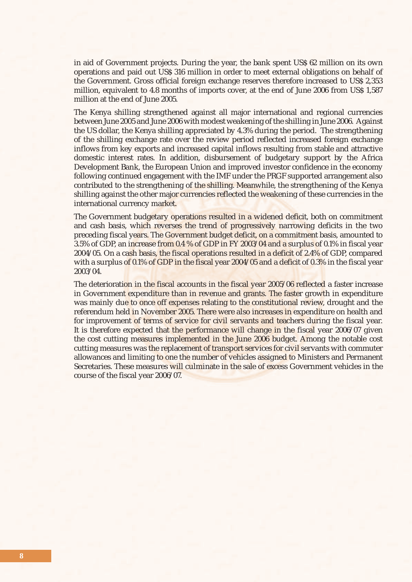in aid of Government projects. During the year, the bank spent US\$ 62 million on its own operations and paid out US\$ 316 million in order to meet external obligations on behalf of the Government. Gross official foreign exchange reserves therefore increased to US\$ 2,353 million, equivalent to 4.8 months of imports cover, at the end of June 2006 from US\$ 1,587 million at the end of June 2005.

The Kenya shilling strengthened against all major international and regional currencies between June 2005 and June 2006 with modest weakening of the shilling in June 2006. Against the US dollar, the Kenya shilling appreciated by 4.3% during the period. The strengthening of the shilling exchange rate over the review period reflected increased foreign exchange inflows from key exports and increased capital inflows resulting from stable and attractive domestic interest rates. In addition, disbursement of budgetary support by the Africa Development Bank, the European Union and improved investor confidence in the economy following continued engagement with the IMF under the PRGF supported arrangement also contributed to the strengthening of the shilling. Meanwhile, the strengthening of the Kenya shilling against the other major currencies reflected the weakening of these currencies in the international currency market.

The Government budgetary operations resulted in a widened deficit, both on commitment and cash basis, which reverses the trend of progressively narrowing deficits in the two preceding fiscal years. The Government budget deficit, on a commitment basis, amounted to 3.5% of GDP, an increase from 0.4 % of GDP in FY 2003/04 and a surplus of 0.1% in fiscal year 2004/05. On a cash basis, the fiscal operations resulted in a deficit of 2.4% of GDP, compared with a surplus of 0.1% of GDP in the fiscal year 2004/05 and a deficit of 0.3% in the fiscal year 2003/04.

The deterioration in the fiscal accounts in the fiscal year 2005/06 reflected a faster increase in Government expenditure than in revenue and grants. The faster growth in expenditure was mainly due to once off expenses relating to the constitutional review, drought and the referendum held in November 2005. There were also increases in expenditure on health and for improvement of terms of service for civil servants and teachers during the fiscal year. It is therefore expected that the performance will change in the fiscal year 2006/07 given the cost cutting measures implemented in the June 2006 budget. Among the notable cost cutting measures was the replacement of transport services for civil servants with commuter allowances and limiting to one the number of vehicles assigned to Ministers and Permanent Secretaries. These measures will culminate in the sale of excess Government vehicles in the course of the fiscal year 2006/07.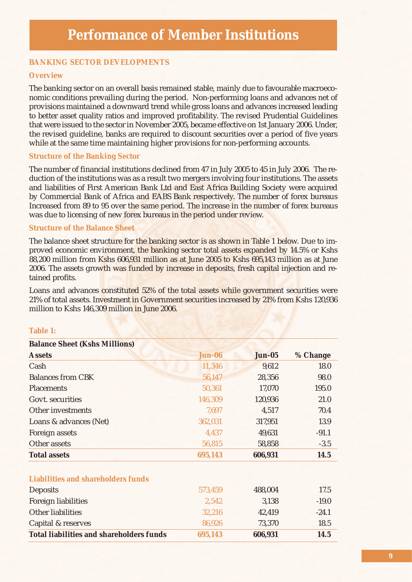### **BANKING SECTOR DEVELOPMENTS**

### **Overview**

The banking sector on an overall basis remained stable, mainly due to favourable macroeconomic conditions prevailing during the period. Non-performing loans and advances net of provisions maintained a downward trend while gross loans and advances increased leading to better asset quality ratios and improved profitability. The revised Prudential Guidelines that were issued to the sector in November 2005, became effective on 1st January 2006. Under, the revised guideline, banks are required to discount securities over a period of five years while at the same time maintaining higher provisions for non-performing accounts.

### **Structure of the Banking Sector**

The number of financial institutions declined from 47 in July 2005 to 45 in July 2006. The reduction of the institutions was as a result two mergers involving four institutions. The assets and liabilities of First American Bank Ltd and East Africa Building Society were acquired by Commercial Bank of Africa and EABS Bank respectively. The number of forex bureaus Increased from 89 to 95 over the same period. The increase in the number of forex bureaus was due to licensing of new forex bureaus in the period under review.

### **Structure of the Balance Sheet**

The balance sheet structure for the banking sector is as shown in Table 1 below. Due to improved economic environment, the banking sector total assets expanded by 14.5% or Kshs 88,200 million from Kshs 606,931 million as at June 2005 to Kshs 695,143 million as at June 2006. The assets growth was funded by increase in deposits, fresh capital injection and retained profits.

Loans and advances constituted 52% of the total assets while government securities were 21% of total assets. Investment in Government securities increased by 21% from Kshs 120,936 million to Kshs 146,309 million in June 2006.

#### **Table 1:**

| <b>Balance Sheet (Kshs Millions)</b>            |               |               |          |
|-------------------------------------------------|---------------|---------------|----------|
| <b>Assets</b>                                   | <b>Jun-06</b> | <b>Jun-05</b> | % Change |
| Cash                                            | 11,346        | 9,612         | 18.0     |
| <b>Balances from CBK</b>                        | 56,147        | 28,356        | 98.0     |
| <b>Placements</b>                               | 50,361        | 17,070        | 195.0    |
| Govt. securities                                | 146,309       | 120,936       | 21.0     |
| Other investments                               | 7,697         | 4,517         | 70.4     |
| Loans & advances (Net)                          | 362,031       | 317,951       | 13.9     |
| Foreign assets                                  | 4,437         | 49,631        | $-91.1$  |
| Other assets                                    | 56,815        | 58,858        | $-3.5$   |
| <b>Total assets</b>                             | 695,143       | 606,931       | 14.5     |
| <b>Liabilities and shareholders funds</b>       |               |               |          |
| <b>Deposits</b>                                 | 573,459       | 488,004       | 17.5     |
| Foreign liabilities                             | 2,542         | 3,138         | $-19.0$  |
| Other liabilities                               | 32,216        | 42,419        | $-24.1$  |
| Capital & reserves                              | 86,926        | 73,370        | 18.5     |
| <b>Total liabilities and shareholders funds</b> | 695,143       | 606,931       | 14.5     |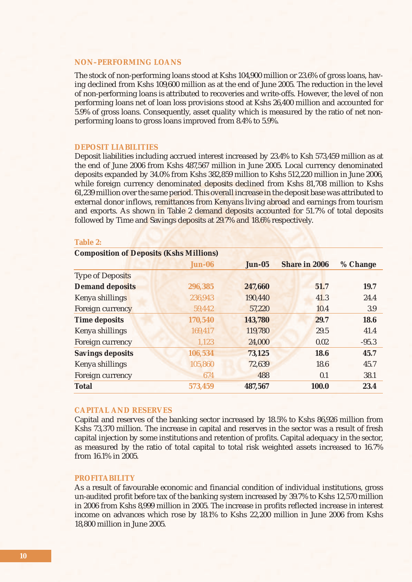### **NON–PERFORMING LOANS**

The stock of non-performing loans stood at Kshs 104,900 million or 23.6% of gross loans, having declined from Kshs 109,600 million as at the end of June 2005. The reduction in the level of non-performing loans is attributed to recoveries and write-offs. However, the level of non performing loans net of loan loss provisions stood at Kshs 26,400 million and accounted for 5.9% of gross loans. Consequently, asset quality which is measured by the ratio of net nonperforming loans to gross loans improved from 8.4% to 5.9%.

#### **DEPOSIT LIABILITIES**

Deposit liabilities including accrued interest increased by 23.4% to Ksh 573,459 million as at the end of June 2006 from Kshs 487,567 million in June 2005. Local currency denominated deposits expanded by 34.0% from Kshs 382,859 million to Kshs 512,220 million in June 2006, while foreign currency denominated deposits declined from Kshs 81,708 million to Kshs 61,239 million over the same period. This overall increase in the deposit base was attributed to external donor inflows, remittances from Kenyans living abroad and earnings from tourism and exports. As shown in Table 2 demand deposits accounted for 51.7% of total deposits followed by Time and Savings deposits at 29.7% and 18.6% respectively.

| <b>Composition of Deposits (Kshs Millions)</b> |               |               |                      |          |  |  |  |
|------------------------------------------------|---------------|---------------|----------------------|----------|--|--|--|
|                                                | <b>Jun-06</b> | <b>Jun-05</b> | <b>Share in 2006</b> | % Change |  |  |  |
| <b>Type of Deposits</b>                        |               |               |                      |          |  |  |  |
| <b>Demand deposits</b>                         | 296,385       | 247,660       | 51.7                 | 19.7     |  |  |  |
| Kenya shillings                                | 236,943       | 190,440       | 41.3                 | 24.4     |  |  |  |
| Foreign currency                               | 59,442        | 57,220        | 10.4                 | 3.9      |  |  |  |
| <b>Time deposits</b>                           | 170,540       | 143,780       | 29.7                 | 18.6     |  |  |  |
| Kenya shillings                                | 169,417       | 119,780       | 29.5                 | 41.4     |  |  |  |
| Foreign currency                               | 1,123         | 24,000        | 0.02                 | $-95.3$  |  |  |  |
| <b>Savings deposits</b>                        | 106,534       | 73,125        | 18.6                 | 45.7     |  |  |  |
| Kenya shillings                                | 105,860       | 72,639        | 18.6                 | 45.7     |  |  |  |
| Foreign currency                               | 674           | 488           | 0.1                  | 38.1     |  |  |  |
| <b>Total</b>                                   | 573,459       | 487,567       | 100.0                | 23.4     |  |  |  |

#### **Table 2:**

#### **CAPITAL AND RESERVES**

Capital and reserves of the banking sector increased by 18.5% to Kshs 86,926 million from Kshs 73,370 million. The increase in capital and reserves in the sector was a result of fresh capital injection by some institutions and retention of profits. Capital adequacy in the sector, as measured by the ratio of total capital to total risk weighted assets increased to 16.7% from 16.1% in 2005.

### **PROFITABILITY**

As a result of favourable economic and financial condition of individual institutions, gross un-audited profit before tax of the banking system increased by 39.7% to Kshs 12,570 million in 2006 from Kshs 8,999 million in 2005. The increase in profits reflected increase in interest income on advances which rose by 18.1% to Kshs 22,200 million in June 2006 from Kshs 18,800 million in June 2005.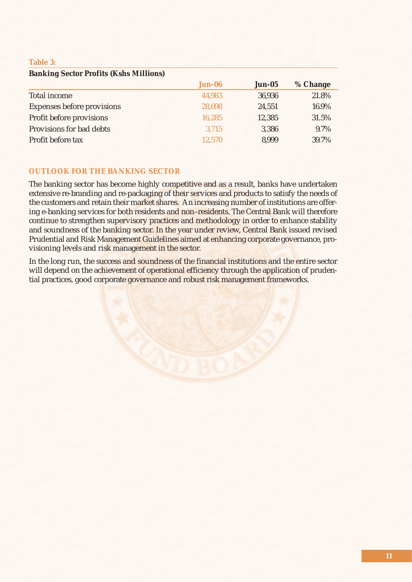### **Table 3:**

| <b>Banking Sector Profits (Kshs Millions)</b> |               |               |          |
|-----------------------------------------------|---------------|---------------|----------|
|                                               | <b>Jun-06</b> | <b>Jun-05</b> | % Change |
| Total income                                  | 44,983        | 36,936        | 21.8%    |
| <b>Expenses before provisions</b>             | 28,698        | 24,551        | 16.9%    |
| Profit before provisions                      | 16,285        | 12,385        | 31.5%    |
| Provisions for bad debts                      | 3,715         | 3,386         | 9.7%     |
| Profit before tax                             | 12,570        | 8,999         | 39.7%    |

### **OUTLOOK FOR THE BANKING SECTOR**

The banking sector has become highly competitive and as a result, banks have undertaken extensive re-branding and re-packaging of their services and products to satisfy the needs of the customers and retain their market shares. An increasing number of institutions are offering e-banking services for both residents and non–residents. The Central Bank will therefore continue to strengthen supervisory practices and methodology in order to enhance stability and soundness of the banking sector. In the year under review, Central Bank issued revised Prudential and Risk Management Guidelines aimed at enhancing corporate governance, provisioning levels and risk management in the sector.

In the long run, the success and soundness of the financial institutions and the entire sector will depend on the achievement of operational efficiency through the application of prudential practices, good corporate governance and robust risk management frameworks.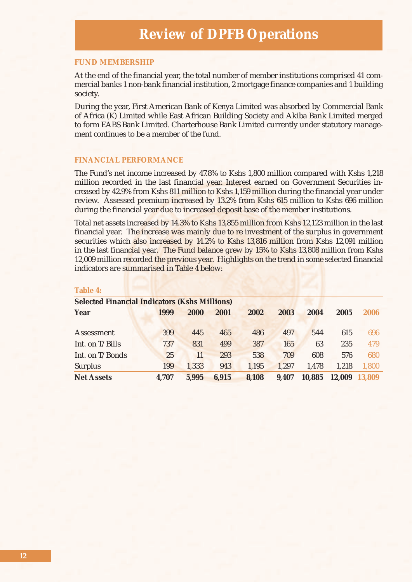#### **FUND MEMBERSHIP**

At the end of the financial year, the total number of member institutions comprised 41 commercial banks 1 non-bank financial institution, 2 mortgage finance companies and 1 building society.

During the year, First American Bank of Kenya Limited was absorbed by Commercial Bank of Africa (K) Limited while East African Building Society and Akiba Bank Limited merged to form EABS Bank Limited. Charterhouse Bank Limited currently under statutory management continues to be a member of the fund.

### **FINANCIAL PERFORMANCE**

The Fund's net income increased by 47.8% to Kshs 1,800 million compared with Kshs 1,218 million recorded in the last financial year. Interest earned on Government Securities increased by 42.9% from Kshs 811 million to Kshs 1,159 million during the financial year under review. Assessed premium increased by 13.2% from Kshs 615 million to Kshs 696 million during the financial year due to increased deposit base of the member institutions.

Total net assets increased by 14.3% to Kshs 13,855 million from Kshs 12,123 million in the last financial year. The increase was mainly due to re investment of the surplus in government securities which also increased by 14.2% to Kshs 13,816 million from Kshs 12,091 million in the last financial year. The Fund balance grew by 15% to Kshs 13,808 million from Kshs 12,009 million recorded the previous year. Highlights on the trend in some selected financial indicators are summarised in Table 4 below:

| <b>Selected Financial Indicators (Kshs Millions)</b> |       |       |       |       |       |        |        |        |
|------------------------------------------------------|-------|-------|-------|-------|-------|--------|--------|--------|
| <b>Year</b>                                          | 1999  | 2000  | 2001  | 2002  | 2003  | 2004   | 2005   | 2006   |
|                                                      |       |       |       |       |       |        |        |        |
| Assessment                                           | 399   | 445   | 465   | 486   | 497   | 544    | 615    | 696    |
| Int. on T/Bills                                      | 737   | 831   | 499   | 387   | 165   | 63     | 235    | 479    |
| Int. on T/Bonds                                      | 25    | 11    | 293   | 538   | 709   | 608    | 576    | 680    |
| <b>Surplus</b>                                       | 199   | 1,333 | 943   | 1,195 | 1.297 | 1.478  | 1.218  | 1,800  |
| <b>Net Assets</b>                                    | 4,707 | 5,995 | 6,915 | 8,108 | 9,407 | 10,885 | 12,009 | 13,809 |

### **Table 4:**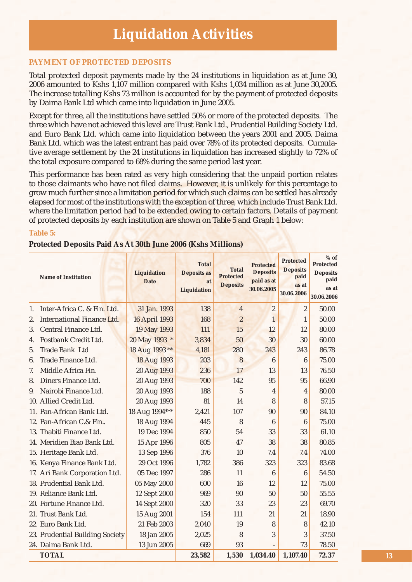### **PAYMENT OF PROTECTED DEPOSITS**

Total protected deposit payments made by the 24 institutions in liquidation as at June 30, 2006 amounted to Kshs 1,107 million compared with Kshs 1,034 million as at June 30,2005. The increase totalling Kshs 73 million is accounted for by the payment of protected deposits by Daima Bank Ltd which came into liquidation in June 2005.

Except for three, all the institutions have settled 50% or more of the protected deposits. The three which have not achieved this level are Trust Bank Ltd., Prudential Building Society Ltd. and Euro Bank Ltd. which came into liquidation between the years 2001 and 2005. Daima Bank Ltd. which was the latest entrant has paid over 78% of its protected deposits. Cumulative average settlement by the 24 institutions in liquidation has increased slightly to 72% of the total exposure compared to 68% during the same period last year.

This performance has been rated as very high considering that the unpaid portion relates to those claimants who have not filed claims. However, it is unlikely for this percentage to grow much further since a limitation period for which such claims can be settled has already elapsed for most of the institutions with the exception of three, which include Trust Bank Ltd. where the limitation period had to be extended owing to certain factors. Details of payment of protected deposits by each institution are shown on Table 5 and Graph 1 below:

### **Table 5:**

### **Protected Deposits Paid As At 30th June 2006 (Kshs Millions)**

|                | <b>Name of Institution</b>        | <b>Liquidation</b><br><b>Date</b> | <b>Total</b><br><b>Deposits as</b><br>at<br><b>Liquidation</b> | <b>Total</b><br><b>Protected</b><br><b>Deposits</b> | <b>Protected</b><br><b>Deposits</b><br>paid as at<br>30.06.2005 | <b>Protected</b><br><b>Deposits</b><br>paid<br>as at<br>30.06.2006 | $%$ of<br><b>Protected</b><br><b>Deposits</b><br>paid<br>as at<br>30.06.2006 |
|----------------|-----------------------------------|-----------------------------------|----------------------------------------------------------------|-----------------------------------------------------|-----------------------------------------------------------------|--------------------------------------------------------------------|------------------------------------------------------------------------------|
| 1.             | Inter-Africa C. & Fin. Ltd.       | 31 Jan. 1993                      | 138                                                            | $\overline{4}$                                      | $\overline{2}$                                                  | $\overline{2}$                                                     | 50.00                                                                        |
| 2.             | <b>International Finance Ltd.</b> | <b>16 April 1993</b>              | 168                                                            | $\overline{2}$                                      | $\mathbf{1}$                                                    | 1                                                                  | 50.00                                                                        |
| 3.             | Central Finance Ltd.              | 19 May 1993                       | 111                                                            | 15                                                  | 12                                                              | 12                                                                 | 80.00                                                                        |
| 4.             | Postbank Credit Ltd.              | 20 May 1993 *                     | 3,834                                                          | 50                                                  | 30                                                              | 30                                                                 | 60.00                                                                        |
| 5 <sub>1</sub> | <b>Trade Bank Ltd</b>             | 18 Aug 1993 **                    | 4,181                                                          | 280                                                 | 243                                                             | 243                                                                | 86.78                                                                        |
| 6.             | Trade Finance Ltd.                | 18 Aug 1993                       | 203                                                            | 8                                                   | 6                                                               | $\boldsymbol{6}$                                                   | 75.00                                                                        |
| 7.             | Middle Africa Fin.                | 20 Aug 1993                       | 236                                                            | 17                                                  | 13                                                              | 13                                                                 | 76.50                                                                        |
| 8.             | Diners Finance Ltd.               | 20 Aug 1993                       | 700                                                            | 142                                                 | 95                                                              | 95                                                                 | 66.90                                                                        |
| 9.             | Nairobi Finance Ltd.              | 20 Aug 1993                       | 188                                                            | 5                                                   | 4                                                               | 4                                                                  | 80.00                                                                        |
|                | 10. Allied Credit Ltd.            | 20 Aug 1993                       | 81                                                             | 14                                                  | 8                                                               | 8                                                                  | 57.15                                                                        |
|                | 11. Pan-African Bank Ltd.         | 18 Aug 1994***                    | 2,421                                                          | 107                                                 | 90                                                              | 90                                                                 | 84.10                                                                        |
|                | 12. Pan-African C.& Fin           | 18 Aug 1994                       | 445                                                            | 8                                                   | $6\phantom{1}6$                                                 | $\boldsymbol{6}$                                                   | 75.00                                                                        |
|                | 13. Thabiti Finance Ltd.          | 19 Dec 1994                       | 850                                                            | 54                                                  | 33                                                              | 33                                                                 | 61.10                                                                        |
|                | 14. Meridien Biao Bank Ltd.       | 15 Apr 1996                       | 805                                                            | 47                                                  | 38                                                              | 38                                                                 | 80.85                                                                        |
|                | 15. Heritage Bank Ltd.            | 13 Sep 1996                       | 376                                                            | 10                                                  | 7.4                                                             | 7.4                                                                | 74.00                                                                        |
|                | 16. Kenya Finance Bank Ltd.       | 29 Oct 1996                       | 1,782                                                          | 386                                                 | 323                                                             | 323                                                                | 83.68                                                                        |
|                | 17. Ari Bank Corporation Ltd.     | 05 Dec 1997                       | 286                                                            | 11                                                  | 6                                                               | 6                                                                  | 54.50                                                                        |
|                | 18. Prudential Bank Ltd.          | 05 May 2000                       | 600                                                            | 16                                                  | 12                                                              | 12                                                                 | 75.00                                                                        |
|                | 19. Reliance Bank Ltd.            | 12 Sept 2000                      | 969                                                            | 90                                                  | 50                                                              | 50                                                                 | 55.55                                                                        |
|                | 20. Fortune Finance Ltd.          | 14 Sept 2000                      | 320                                                            | 33                                                  | 23                                                              | 23                                                                 | 69.70                                                                        |
|                | 21. Trust Bank Ltd.               | 15 Aug 2001                       | 154                                                            | 111                                                 | 21                                                              | 21                                                                 | 18.90                                                                        |
|                | 22. Euro Bank Ltd.                | 21 Feb 2003                       | 2,040                                                          | 19                                                  | 8                                                               | 8                                                                  | 42.10                                                                        |
|                | 23. Prudential Building Society   | 18 Jan 2005                       | 2,025                                                          | 8                                                   | 3                                                               | 3                                                                  | 37.50                                                                        |
|                | 24. Daima Bank Ltd.               | 13 Jun 2005                       | 669                                                            | 93                                                  |                                                                 | 73                                                                 | 78.50                                                                        |
|                | <b>TOTAL</b>                      |                                   | 23,582                                                         | 1,530                                               | 1,034.40                                                        | 1,107.40                                                           | 72.37                                                                        |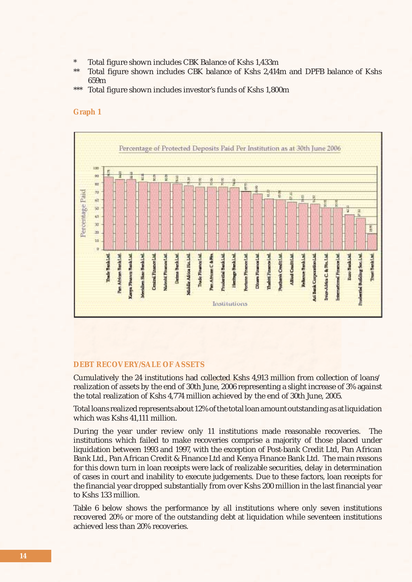- \* Total figure shown includes CBK Balance of Kshs 1,433m<br>\*\* Total figure shown includes CBK balance of Kshs 3,414
- Total figure shown includes CBK balance of Kshs 2,414m and DPFB balance of Kshs 659m
- Total figure shown includes investor's funds of Kshs 1,800m

#### **Graph 1**



#### **DEBT RECOVERY/SALE OF ASSETS**

Cumulatively the 24 institutions had collected Kshs 4,913 million from collection of loans/ realization of assets by the end of 30th June, 2006 representing a slight increase of 3% against the total realization of Kshs 4,774 million achieved by the end of 30th June, 2005.

Total loans realized represents about 12% of the total loan amount outstanding as at liquidation which was Kshs 41,111 million.

During the year under review only 11 institutions made reasonable recoveries. The institutions which failed to make recoveries comprise a majority of those placed under liquidation between 1993 and 1997, with the exception of Post-bank Credit Ltd, Pan African Bank Ltd., Pan African Credit & Finance Ltd and Kenya Finance Bank Ltd. The main reasons for this down turn in loan receipts were lack of realizable securities, delay in determination of cases in court and inability to execute judgements. Due to these factors, loan receipts for the financial year dropped substantially from over Kshs 200 million in the last financial year to Kshs 133 million.

Table 6 below shows the performance by all institutions where only seven institutions recovered 20% or more of the outstanding debt at liquidation while seventeen institutions achieved less than 20% recoveries.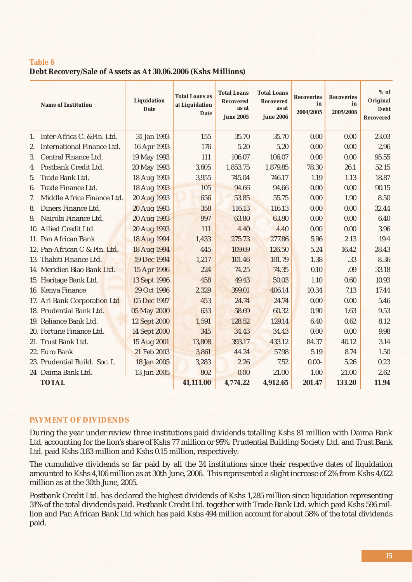### **Table 6**

**Debt Recovery/Sale of Assets as At 30.06.2006 (Kshs Millions)**

| <b>Name of Institution</b>              | Liquidation<br><b>Date</b> | <b>Total Loans as</b><br>at Liquidation<br>Date | <b>Total Loans</b><br><b>Recovered</b><br>as at<br><b>June 2005</b> | <b>Total Loans</b><br><b>Recovered</b><br>as at<br><b>June 2006</b> | <b>Recoveries</b><br>in<br>2004/2005 | <b>Recoveries</b><br>in<br>2005/2006 | $%$ of<br>Original<br><b>Debt</b><br><b>Recovered</b> |
|-----------------------------------------|----------------------------|-------------------------------------------------|---------------------------------------------------------------------|---------------------------------------------------------------------|--------------------------------------|--------------------------------------|-------------------------------------------------------|
| Inter-Africa C. & Fin. Ltd.<br>1.       | 31 Jan 1993                | 155                                             | 35.70                                                               | 35.70                                                               | 0.00                                 | 0.00                                 | 23.03                                                 |
| <b>International Finance Ltd.</b><br>2. | 16 Apr 1993                | 176                                             | 5.20                                                                | 5.20                                                                | 0.00                                 | 0.00                                 | 2.96                                                  |
| Central Finance Ltd.<br>3.              | 19 May 1993                | 111                                             | 106.07                                                              | 106.07                                                              | 0.00                                 | 0.00                                 | 95.55                                                 |
| Postbank Credit Ltd.<br>4.              | 20 May 1993                | 3,605                                           | 1,853.75                                                            | 1,879.85                                                            | 78.30                                | 26.1                                 | 52.15                                                 |
| Trade Bank Ltd.<br>5 <sub>1</sub>       | 18 Aug 1993                | 3,955                                           | 745.04                                                              | 746.17                                                              | 1.19                                 | 1.13                                 | 18.87                                                 |
| Trade Finance Ltd.<br>6.                | 18 Aug 1993                | 105                                             | 94.66                                                               | 94.66                                                               | 0.00                                 | 0.00                                 | 90.15                                                 |
| Middle Africa Finance Ltd.<br>7.        | 20 Aug 1993                | 656                                             | 53.85                                                               | 55.75                                                               | 0.00                                 | 1.90                                 | 8.50                                                  |
| Diners Finance Ltd.<br>8.               | 20 Aug 1993                | 358                                             | 116.13                                                              | 116.13                                                              | 0.00                                 | 0.00                                 | 32.44                                                 |
| Nairobi Finance Ltd.<br>9.              | 20 Aug 1993                | 997                                             | 63.80                                                               | 63.80                                                               | 0.00                                 | 0.00                                 | 6.40                                                  |
| 10. Allied Credit Ltd.                  | 20 Aug 1993                | 111                                             | 4.40                                                                | 4.40                                                                | 0.00                                 | 0.00                                 | 3.96                                                  |
| 11. Pan African Bank                    | 18 Aug 1994                | 1,433                                           | 275.73                                                              | 277.86                                                              | 5.96                                 | 2.13                                 | 19.4                                                  |
| 12. Pan-African C & Fin. Ltd.           | 18 Aug 1994                | 445                                             | 109.69                                                              | 126.50                                                              | 5.24                                 | 16.42                                | 28.43                                                 |
| 13. Thabiti Finance Ltd.                | 19 Dec 1994                | 1,217                                           | 101.46                                                              | 101.79                                                              | 1.38                                 | .33                                  | 8.36                                                  |
| 14. Meridien Biao Bank Ltd.             | 15 Apr 1996                | 224                                             | 74.25                                                               | 74.35                                                               | 0.10                                 | .09                                  | 33.18                                                 |
| 15. Heritage Bank Ltd.                  | <b>13 Sept 1996</b>        | 458                                             | 49.43                                                               | 50.03                                                               | 1.10                                 | 0.60                                 | 10.93                                                 |
| 16. Kenya Finance                       | 29 Oct 1996                | 2,329                                           | 399.01                                                              | 406.14                                                              | 10.34                                | 7.13                                 | 17.44                                                 |
| 17. Ari Bank Corporation Ltd            | 05 Dec 1997                | 453                                             | 24.74                                                               | 24.74                                                               | 0.00                                 | 0.00                                 | 5.46                                                  |
| 18. Prudential Bank Ltd.                | 05 May 2000                | 633                                             | 58.69                                                               | 60.32                                                               | 0.90                                 | 1.63                                 | 9.53                                                  |
| 19. Reliance Bank Ltd.                  | 12 Sept 2000               | 1,591                                           | 128.52                                                              | 129.14                                                              | 6.40                                 | 0.62                                 | 8.12                                                  |
| 20. Fortune Finance Ltd.                | <b>14 Sept 2000</b>        | 345                                             | 34.43                                                               | 34.43                                                               | 0.00                                 | 0.00                                 | 9.98                                                  |
| 21. Trust Bank Ltd.                     | 15 Aug 2001                | 13,808                                          | 393.17                                                              | 433.12                                                              | 84.37                                | 40.12                                | 3.14                                                  |
| 22. Euro Bank                           | 21 Feb 2003                | 3,861                                           | 44.24                                                               | 57.98                                                               | 5.19                                 | 8.74                                 | 1.50                                                  |
| 23. Prudential Build. Soc. L            | 18 Jan 2005                | 3,283                                           | 2.26                                                                | 7.52                                                                | $0.00 -$                             | 5.26                                 | 0.23                                                  |
| 24 Daima Bank Ltd.                      | 13 Jun 2005                | 802                                             | 0.00                                                                | 21.00                                                               | 1.00                                 | 21.00                                | 2.62                                                  |
| <b>TOTAL</b>                            |                            | 41,111.00                                       | 4,774.22                                                            | 4,912.65                                                            | 201.47                               | 133.20                               | 11.94                                                 |

### **PAYMENT OF DIVIDENDS**

During the year under review three institutions paid dividends totalling Kshs 81 million with Daima Bank Ltd. accounting for the lion's share of Kshs 77 million or 95%. Prudential Building Society Ltd. and Trust Bank Ltd. paid Kshs 3.83 million and Kshs 0.15 million, respectively.

The cumulative dividends so far paid by all the 24 institutions since their respective dates of liquidation amounted to Kshs 4,106 million as at 30th June, 2006. This represented a slight increase of 2% from Kshs 4,022 million as at the 30th June, 2005.

Postbank Credit Ltd. has declared the highest dividends of Kshs 1,285 million since liquidation representing 31% of the total dividends paid. Postbank Credit Ltd. together with Trade Bank Ltd. which paid Kshs 596 million and Pan African Bank Ltd which has paid Kshs 494 million account for about 58% of the total dividends paid.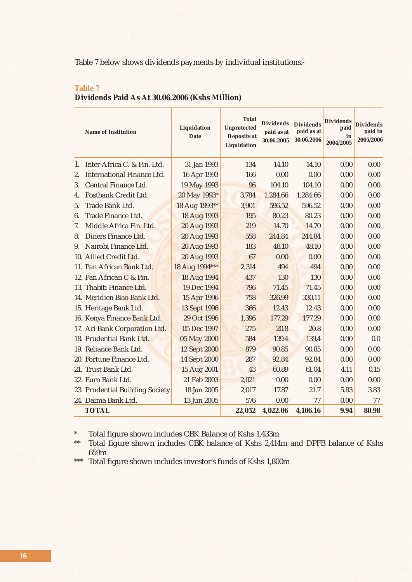Table 7 below shows dividends payments by individual institutions:-

|         | <b>Name of Institution</b>        | Liquidation<br><b>Date</b> | <b>Total</b><br><b>Unprotected</b><br><b>Deposits at</b><br>Liquidation |        |          |          | <b>Dividends</b><br>paid as at<br>30.06.2005 | <b>Dividends</b><br>paid as at<br>30.06.2006 | <b>Dividends</b><br>paid<br>in<br>2004/2005 | <b>Dividends</b><br>paid in<br>2005/2006 |
|---------|-----------------------------------|----------------------------|-------------------------------------------------------------------------|--------|----------|----------|----------------------------------------------|----------------------------------------------|---------------------------------------------|------------------------------------------|
| 1.      | Inter-Africa C. & Fin. Ltd.       | 31 Jan 1993                |                                                                         | 134    | 14.10    | 14.10    | 0.00                                         | 0.00                                         |                                             |                                          |
| 2.      | <b>International Finance Ltd.</b> | 16 Apr 1993                |                                                                         | 166    | 0.00     | 0.00     | 0.00                                         | 0.00                                         |                                             |                                          |
| 3.      | Central Finance Ltd.              | 19 May 1993                |                                                                         | 96     | 104.10   | 104.10   | 0.00                                         | 0.00                                         |                                             |                                          |
| $4_{-}$ | Postbank Credit Ltd.              | 20 May 1993*               |                                                                         | 3,784  | 1,284.66 | 1,284.66 | 0.00                                         | 0.00                                         |                                             |                                          |
| 5.      | Trade Bank Ltd.                   | 18 Aug 1993**              |                                                                         | 3,901  | 596.52   | 596.52   | 0.00                                         | 0.00                                         |                                             |                                          |
| 6.      | Trade Finance Ltd.                | 18 Aug 1993                |                                                                         | 195    | 80.23    | 80.23    | 0.00                                         | 0.00                                         |                                             |                                          |
| 7.      | Middle Africa Fin. Ltd.           | 20 Aug 1993                |                                                                         | 219    | 14.70    | 14.70    | 0.00                                         | 0.00                                         |                                             |                                          |
| 8.      | Diners Finance Ltd.               | 20 Aug 1993                |                                                                         | 558    | 244.84   | 244.84   | 0.00                                         | 0.00                                         |                                             |                                          |
| 9.      | Nairobi Finance Ltd.              | 20 Aug 1993                |                                                                         | 183    | 48.10    | 48.10    | 0.00                                         | 0.00                                         |                                             |                                          |
|         | 10. Allied Credit Ltd.            | 20 Aug 1993                |                                                                         | 67     | 0.00     | 0.00     | 0.00                                         | 0.00                                         |                                             |                                          |
|         | 11. Pan African Bank Ltd.         | 18 Aug 1994***             |                                                                         | 2,314  | 494      | 494      | 0.00                                         | 0.00                                         |                                             |                                          |
|         | 12. Pan African C & Fin.          | 18 Aug 1994                |                                                                         | 437    | 130      | 130      | 0.00                                         | 0.00                                         |                                             |                                          |
|         | 13. Thabiti Finance Ltd.          | 19 Dec 1994                |                                                                         | 796    | 71.45    | 71.45    | 0.00                                         | 0.00                                         |                                             |                                          |
|         | 14. Meridien Biao Bank Ltd.       | 15 Apr 1996                |                                                                         | 758    | 326.99   | 330.11   | 0.00                                         | 0.00                                         |                                             |                                          |
|         | 15. Heritage Bank Ltd.            | 13 Sept 1996               |                                                                         | 366    | 12.43    | 12.43    | 0.00                                         | 0.00                                         |                                             |                                          |
|         | 16. Kenya Finance Bank Ltd.       | 29 Oct 1996                |                                                                         | 1,396  | 177.29   | 177.29   | 0.00                                         | 0.00                                         |                                             |                                          |
|         | 17. Ari Bank Corporation Ltd.     | 05 Dec 1997                |                                                                         | 275    | 20.8     | 20.8     | 0.00                                         | 0.00                                         |                                             |                                          |
|         | 18. Prudential Bank Ltd.          | 05 May 2000                |                                                                         | 584    | 139.4    | 139.4    | 0.00                                         | 0.0                                          |                                             |                                          |
|         | 19. Reliance Bank Ltd.            | <b>12 Sept 2000</b>        |                                                                         | 879    | 90.85    | 90.85    | 0.00                                         | 0.00                                         |                                             |                                          |
|         | 20. Fortune Finance Ltd.          | <b>14 Sept 2000</b>        |                                                                         | 287    | 92.84    | 92.84    | 0.00                                         | 0.00                                         |                                             |                                          |
|         | 21. Trust Bank Ltd.               | 15 Aug 2001                |                                                                         | 43     | 60.89    | 61.04    | 4.11                                         | 0.15                                         |                                             |                                          |
|         | 22. Euro Bank Ltd.                | 21 Feb 2003                |                                                                         | 2,021  | 0.00     | 0.00     | 0.00                                         | 0.00                                         |                                             |                                          |
|         | 23. Prudential Building Society   | 18 Jan 2005                |                                                                         | 2,017  | 17.87    | 21.7     | 5.83                                         | 3.83                                         |                                             |                                          |
|         | 24. Daima Bank Ltd.               | 13 Jun 2005                |                                                                         | 576    | 0.00     | 77       | 0.00                                         | 77                                           |                                             |                                          |
|         | <b>TOTAL</b>                      |                            |                                                                         | 22,052 | 4,022.06 | 4,106.16 | 9.94                                         | 80.98                                        |                                             |                                          |

### **Table 7 Dividends Paid As At 30.06.2006 (Kshs Million)**

\* Total figure shown includes CBK Balance of Kshs 1,433m<br>\*\* Total figure shown includes CBK balance of Kshs 2.414

Total figure shown includes CBK balance of Kshs 2,414m and DPFB balance of Kshs 659m

\*\*\* Total figure shown includes investor's funds of Kshs 1,800m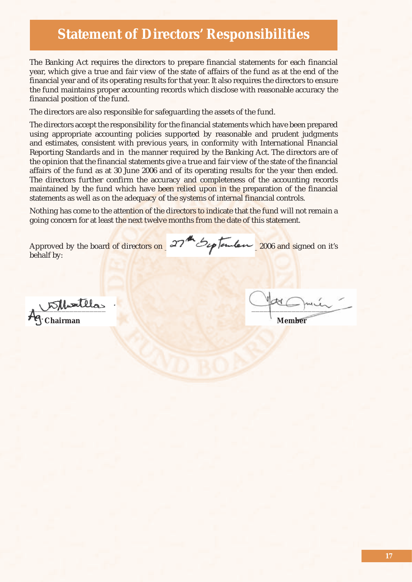### **Statement of Directors' Responsibilities**

The Banking Act requires the directors to prepare financial statements for each financial year, which give a true and fair view of the state of affairs of the fund as at the end of the financial year and of its operating results for that year. It also requires the directors to ensure the fund maintains proper accounting records which disclose with reasonable accuracy the financial position of the fund.

The directors are also responsible for safeguarding the assets of the fund.

The directors accept the responsibility for the financial statements which have been prepared using appropriate accounting policies supported by reasonable and prudent judgments and estimates, consistent with previous years, in conformity with International Financial Reporting Standards and in the manner required by the Banking Act. The directors are of the opinion that the financial statements give a true and fair view of the state of the financial affairs of the fund as at 30 June 2006 and of its operating results for the year then ended. The directors further confirm the accuracy and completeness of the accounting records maintained by the fund which have been relied upon in the preparation of the financial statements as well as on the adequacy of the systems of internal financial controls.

Nothing has come to the attention of the directors to indicate that the fund will not remain a going concern for at least the next twelve months from the date of this statement.

behalf by:

Approved by the board of directors on  $27$  by tember 2006 and signed on it's

 $\mathcal{K}$  threateless **Chairman** Member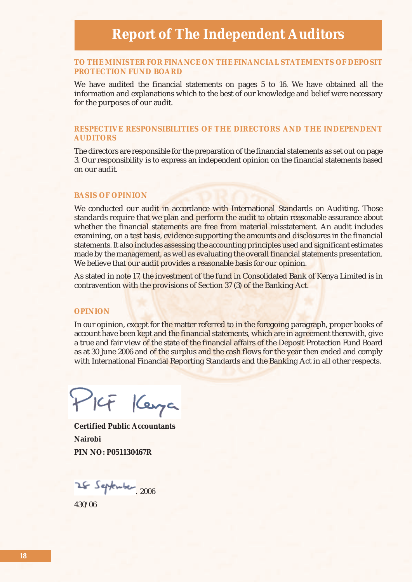### **TO THE MINISTER FOR FINANCE ON THE FINANCIAL STATEMENTS OF DEPOSIT PROTECTION FUND BOARD**

We have audited the financial statements on pages 5 to 16. We have obtained all the information and explanations which to the best of our knowledge and belief were necessary for the purposes of our audit.

### **RESPECTIVE RESPONSIBILITIES OF THE DIRECTORS AND THE INDEPENDENT AUDITORS**

The directors are responsible for the preparation of the financial statements as set out on page 3. Our responsibility is to express an independent opinion on the financial statements based on our audit.

### **BASIS OF OPINION**

We conducted our audit in accordance with International Standards on Auditing. Those standards require that we plan and perform the audit to obtain reasonable assurance about whether the financial statements are free from material misstatement. An audit includes examining, on a test basis, evidence supporting the amounts and disclosures in the financial statements. It also includes assessing the accounting principles used and significant estimates made by the management, as well as evaluating the overall financial statements presentation. We believe that our audit provides a reasonable basis for our opinion.

As stated in note 17, the investment of the fund in Consolidated Bank of Kenya Limited is in contravention with the provisions of Section 37 (3) of the Banking Act.

#### **OPINION**

In our opinion, except for the matter referred to in the foregoing paragraph, proper books of account have been kept and the financial statements, which are in agreement therewith, give a true and fair view of the state of the financial affairs of the Deposit Protection Fund Board as at 30 June 2006 and of the surplus and the cash flows for the year then ended and comply with International Financial Reporting Standards and the Banking Act in all other respects.

PILF Kenya

**Certified Public Accountants Nairobi PIN NO: P051130467R**

……………………… 2006

430/06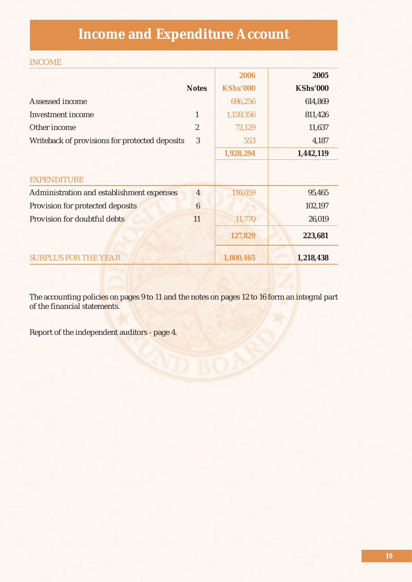## **Income and Expenditure Account**

### INCOME

|                                                |                  | 2006            | 2005            |
|------------------------------------------------|------------------|-----------------|-----------------|
|                                                | <b>Notes</b>     | <b>KShs'000</b> | <b>KShs'000</b> |
| Assessed income                                |                  | 696,256         | 614,869         |
| <b>Investment</b> income                       | $\mathbf{1}$     | 1,159,356       | 811,426         |
| Other income                                   | $\overline{2}$   | 72,129          | 11,637          |
| Writeback of provisions for protected deposits | 3                | 553             | 4,187           |
|                                                |                  | 1,928,294       | 1,442,119       |
|                                                |                  |                 |                 |
| <b>EXPENDITURE</b>                             |                  |                 |                 |
| Administration and establishment expenses      | $\overline{4}$   | 116,059         | 95,465          |
| Provision for protected deposits               | $\boldsymbol{6}$ |                 | 102,197         |
| Provision for doubtful debts                   | 11               | 11,770          | 26,019          |
|                                                |                  | 127,829         | 223,681         |
| <b>SURPLUS FOR THE YEAR</b>                    |                  | 1,800,465       | 1,218,438       |

The accounting policies on pages 9 to 11 and the notes on pages 12 to 16 form an integral part of the financial statements.

Report of the independent auditors - page 4.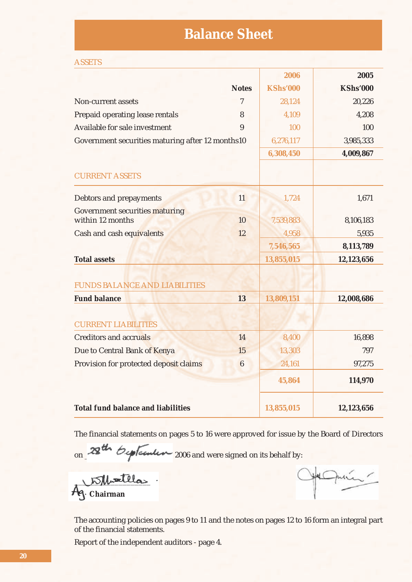### **Balance Sheet**

| <b>ASSETS</b>                                             |                  |                 |                 |
|-----------------------------------------------------------|------------------|-----------------|-----------------|
|                                                           |                  | 2006            | 2005            |
|                                                           | <b>Notes</b>     | <b>KShs'000</b> | <b>KShs'000</b> |
| Non-current assets                                        | $\overline{7}$   | 28,124          | 20,226          |
| Prepaid operating lease rentals                           | 8                | 4,109           | 4,208           |
| Available for sale investment                             | 9                | 100             | 100             |
| Government securities maturing after 12 months10          |                  | 6,276,117       | 3,985,333       |
|                                                           |                  | 6,308,450       | 4,009,867       |
| <b>CURRENT ASSETS</b>                                     |                  |                 |                 |
| Debtors and prepayments                                   | 11               | 1,724           | 1,671           |
| <b>Government securities maturing</b><br>within 12 months | 10               | 7,539,883       | 8,106,183       |
| Cash and cash equivalents                                 | 12               | 4,958           | 5,935           |
|                                                           |                  | 7,546,565       | 8,113,789       |
| <b>Total assets</b>                                       |                  | 13,855,015      | 12,123,656      |
|                                                           |                  |                 |                 |
| <b>FUNDS BALANCE AND LIABILITIES</b>                      |                  |                 |                 |
| <b>Fund balance</b>                                       | 13               | 13,809,151      | 12,008,686      |
|                                                           |                  |                 |                 |
| <b>CURRENT LIABILITIES</b>                                |                  |                 |                 |
| <b>Creditors and accruals</b>                             | 14               | 8,400           | 16,898          |
| Due to Central Bank of Kenya                              | 15               | 13,303          | 797             |
| Provision for protected deposit claims                    | $\boldsymbol{6}$ | 24,161          | 97,275          |
|                                                           |                  | 45,864          | 114,970         |
| <b>Total fund balance and liabilities</b>                 |                  | 13,855,015      | 12,123,656      |

The financial statements on pages 5 to 16 were approved for issue by the Board of Directors

on  $\sim$   $\sim$   $\sim$   $\sim$   $\sim$   $\sim$   $\sim$  2006 and were signed on its behalf by:

 **Chairman Member**

 $\Box$   $\Box$ 

The accounting policies on pages 9 to 11 and the notes on pages 12 to 16 form an integral part of the financial statements.

Report of the independent auditors - page 4.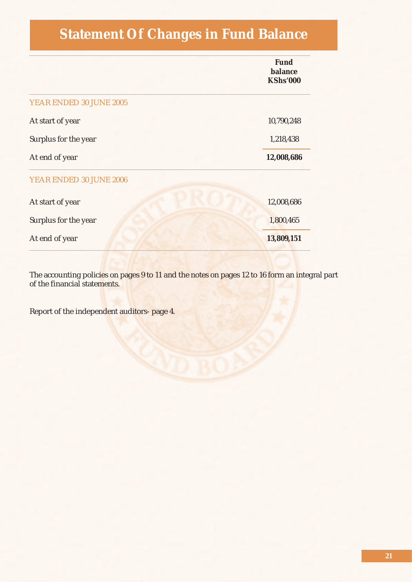## **Statement Of Changes in Fund Balance**

|                         | <b>Fund</b><br>balance<br><b>KShs'000</b> |
|-------------------------|-------------------------------------------|
| YEAR ENDED 30 JUNE 2005 |                                           |
| At start of year        | 10,790,248                                |
| Surplus for the year    | 1,218,438                                 |
| At end of year          | 12,008,686                                |
| YEAR ENDED 30 JUNE 2006 |                                           |
| At start of year        | 12,008,686                                |
| Surplus for the year    | 1,800,465                                 |
| At end of year          | 13,809,151                                |

The accounting polici<mark>es on pages 9 to 11 and the notes on pages 12 to 16 form an in</mark>tegral part of the financial statements.

Report of the independent auditors- page 4.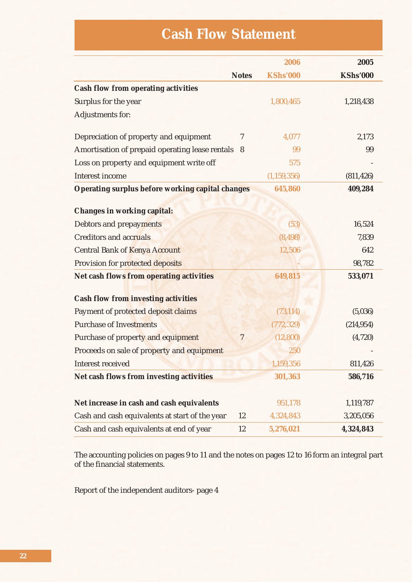## **Cash Flow Statement**

|                                                         |                | 2006            | 2005            |
|---------------------------------------------------------|----------------|-----------------|-----------------|
|                                                         | <b>Notes</b>   | <b>KShs'000</b> | <b>KShs'000</b> |
| <b>Cash flow from operating activities</b>              |                |                 |                 |
| Surplus for the year                                    |                | 1,800,465       | 1,218,438       |
| Adjustments for:                                        |                |                 |                 |
|                                                         |                |                 |                 |
| Depreciation of property and equipment                  | 7              | 4,077           | 2,173           |
| Amortisation of prepaid operating lease rentals 8       |                | 99              | 99              |
| Loss on property and equipment write off                |                | 575             |                 |
| Interest income                                         |                | (1, 159, 356)   | (811, 426)      |
| <b>Operating surplus before working capital changes</b> |                | 645,860         | 409,284         |
|                                                         |                |                 |                 |
| <b>Changes in working capital:</b>                      |                |                 |                 |
| <b>Debtors and prepayments</b>                          |                | (53)            | 16,524          |
| <b>Creditors and accruals</b>                           |                | (8, 498)        | 7,839           |
| <b>Central Bank of Kenya Account</b>                    |                | 12,506          | 642             |
| Provision for protected deposits                        |                |                 | 98,782          |
| <b>Net cash flows from operating activities</b>         |                | 649,815         | 533,071         |
|                                                         |                |                 |                 |
| <b>Cash flow from investing activities</b>              |                |                 |                 |
| Payment of protected deposit claims                     |                | (73, 114)       | (5,036)         |
| <b>Purchase of Investments</b>                          |                | (772, 329)      | (214, 954)      |
| Purchase of property and equipment                      | $\overline{7}$ | (12, 800)       | (4,720)         |
| Proceeds on sale of property and equipment              |                | 250             |                 |
| <b>Interest received</b>                                |                | 1,159,356       | 811,426         |
| Net cash flows from investing activities                |                | 301,363         | 586,716         |
|                                                         |                |                 |                 |
| Net increase in cash and cash equivalents               |                | 951,178         | 1,119,787       |
| Cash and cash equivalents at start of the year          | 12             | 4,324,843       | 3,205,056       |
| Cash and cash equivalents at end of year                | 12             | 5,276,021       | 4,324,843       |

The accounting policies on pages 9 to 11 and the notes on pages 12 to 16 form an integral part of the financial statements.

Report of the independent auditors- page 4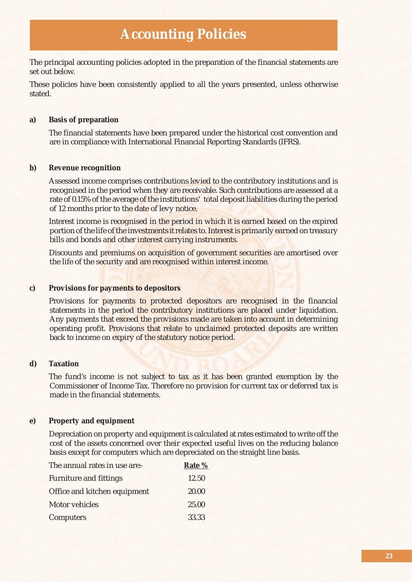### **Accounting Policies**

The principal accounting policies adopted in the preparation of the financial statements are set out below.

These policies have been consistently applied to all the years presented, unless otherwise stated.

### **a) Basis of preparation**

 The financial statements have been prepared under the historical cost convention and are in compliance with International Financial Reporting Standards (IFRS).

#### **b) Revenue recognition**

 Assessed income comprises contributions levied to the contributory institutions and is recognised in the period when they are receivable. Such contributions are assessed at a rate of 0.15% of the average of the institutions' total deposit liabilities during the period of 12 months prior to the date of levy notice.

 Interest income is recognised in the period in which it is earned based on the expired portion of the life of the investments it relates to. Interest is primarily earned on treasury bills and bonds and other interest carrying instruments.

 Discounts and premiums on acquisition of government securities are amortised over the life of the security and are recognised within interest income.

### **c) Provisions for payments to depositors**

 Provisions for payments to protected depositors are recognised in the financial statements in the period the contributory institutions are placed under liquidation. Any payments that exceed the provisions made are taken into account in determining operating profit. Provisions that relate to unclaimed protected deposits are written back to income on expiry of the statutory notice period.

### **d) Taxation**

The fund's income is not subject to tax as it has been granted exemption by the Commissioner of Income Tax. Therefore no provision for current tax or deferred tax is made in the financial statements.

### **e) Property and equipment**

 Depreciation on property and equipment is calculated at rates estimated to write off the cost of the assets concerned over their expected useful lives on the reducing balance basis except for computers which are depreciated on the straight line basis.

| The annual rates in use are:- | Rate % |
|-------------------------------|--------|
| <b>Furniture and fittings</b> | 12.50  |
| Office and kitchen equipment  | 20.00  |
| Motor vehicles                | 25.00  |
| Computers                     | 33.33  |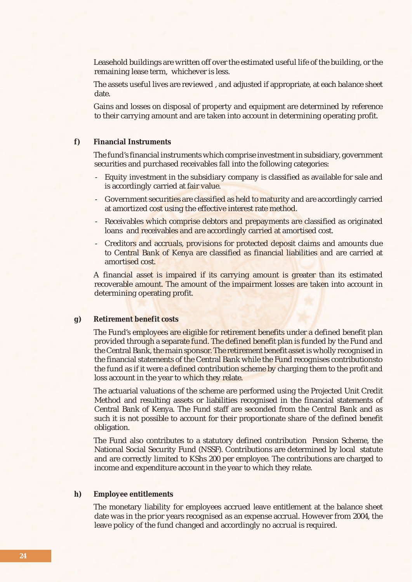Leasehold buildings are written off over the estimated useful life of the building, or the remaining lease term, whichever is less.

 The assets useful lives are reviewed , and adjusted if appropriate, at each balance sheet date.

 Gains and losses on disposal of property and equipment are determined by reference to their carrying amount and are taken into account in determining operating profit.

### **f) Financial Instruments**

The fund's financial instruments which comprise investment in subsidiary, government securities and purchased receivables fall into the following categories:

- Equity investment in the subsidiary company is classified as available for sale and is accordingly carried at fair value.
- Government securities are classified as held to maturity and are accordingly carried at amortized cost using the effective interest rate method.
- Receivables which comprise debtors and prepayments are classified as originated loans and receivables and are accordingly carried at amortised cost.
- Creditors and accruals, provisions for protected deposit claims and amounts due to Central Bank of Kenya are classified as financial liabilities and are carried at amortised cost.

 A financial asset is impaired if its carrying amount is greater than its estimated recoverable amount. The amount of the impairment losses are taken into account in determining operating profit.

### **g) Retirement benefit costs**

The Fund's employees are eligible for retirement benefits under a defined benefit plan provided through a separate fund. The defined benefit plan is funded by the Fund and the Central Bank, the main sponsor. The retirement benefit asset is wholly recognised in the financial statements of the Central Bank while the Fund recognises contributionsto the fund as if it were a defined contribution scheme by charging them to the profit and loss account in the year to which they relate.

 The actuarial valuations of the scheme are performed using the Projected Unit Credit Method and resulting assets or liabilities recognised in the financial statements of Central Bank of Kenya. The Fund staff are seconded from the Central Bank and as such it is not possible to account for their proportionate share of the defined benefit obligation.

 The Fund also contributes to a statutory defined contribution Pension Scheme, the National Social Security Fund (NSSF). Contributions are determined by local statute and are correctly limited to KShs 200 per employee. The contributions are charged to income and expenditure account in the year to which they relate.

#### **h) Employee entitlements**

 The monetary liability for employees accrued leave entitlement at the balance sheet date was in the prior years recognised as an expense accrual. However from 2004, the leave policy of the fund changed and accordingly no accrual is required.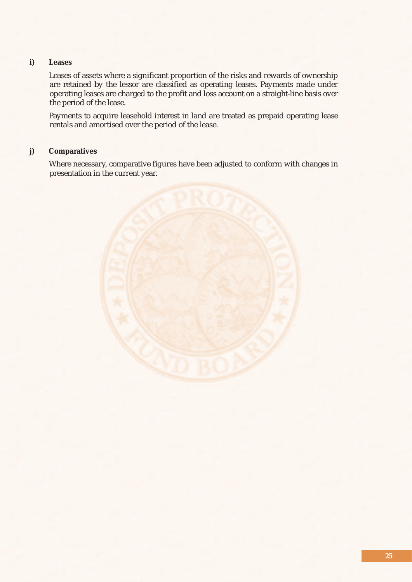### **i) Leases**

 Leases of assets where a significant proportion of the risks and rewards of ownership are retained by the lessor are classified as operating leases. Payments made under operating leases are charged to the profit and loss account on a straight-line basis over the period of the lease.

 Payments to acquire leasehold interest in land are treated as prepaid operating lease rentals and amortised over the period of the lease.

### **j) Comparatives**

 Where necessary, comparative figures have been adjusted to conform with changes in presentation in the current year.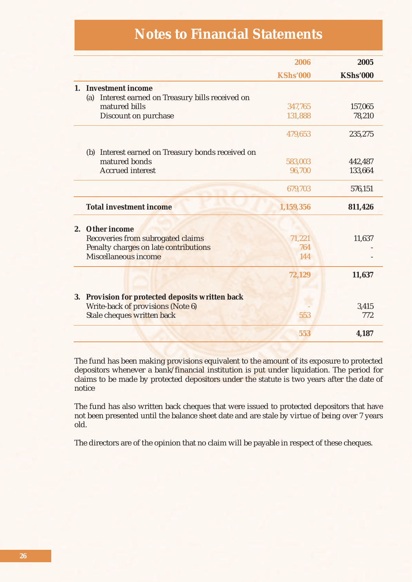### **Notes to Financial Statements**

|                                                      | 2006            | 2005            |
|------------------------------------------------------|-----------------|-----------------|
|                                                      | <b>KShs'000</b> | <b>KShs'000</b> |
| 1. Investment income                                 |                 |                 |
| Interest earned on Treasury bills received on<br>(a) |                 |                 |
| matured bills                                        | 347,765         | 157,065         |
| Discount on purchase                                 | 131,888         | 78,210          |
|                                                      | 479,653         | 235,275         |
| (b) Interest earned on Treasury bonds received on    |                 |                 |
| matured bonds                                        | 583,003         | 442,487         |
| <b>Accrued</b> interest                              | 96,700          | 133,664         |
|                                                      | 679,703         | 576,151         |
| <b>Total investment income</b>                       | 1,159,356       | 811,426         |
| 2. Other income                                      |                 |                 |
| Recoveries from subrogated claims                    | 71,221          | 11,637          |
| Penalty charges on late contributions                | 764             |                 |
| Miscellaneous income                                 | 144             |                 |
|                                                      | 72,129          | 11,637          |
| 3. Provision for protected deposits written back     |                 |                 |
| Write-back of provisions (Note 6)                    |                 | 3,415           |
| Stale cheques written back                           | 553             | 772             |
|                                                      | 553             | 4,187           |

The fund has been making provisions equivalent to the amount of its exposure to protected depositors whenever a bank/financial institution is put under liquidation. The period for claims to be made by protected depositors under the statute is two years after the date of notice

The fund has also written back cheques that were issued to protected depositors that have not been presented until the balance sheet date and are stale by virtue of being over 7 years old.

The directors are of the opinion that no claim will be payable in respect of these cheques.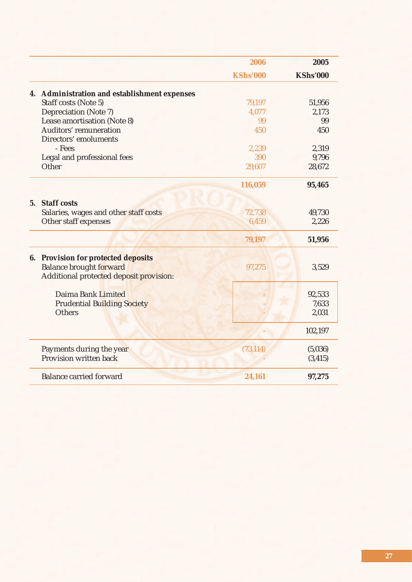|                                              | 2006            | 2005            |
|----------------------------------------------|-----------------|-----------------|
|                                              | <b>KShs'000</b> | <b>KShs'000</b> |
| 4. Administration and establishment expenses |                 |                 |
| Staff costs (Note 5)                         | 79,197          | 51,956          |
| Depreciation (Note 7)                        | 4,077           | 2,173           |
| Lease amortisation (Note 8)                  | 99              | 99              |
| <b>Auditors' remuneration</b>                | 450             | 450             |
| Directors' emoluments                        |                 |                 |
| - Fees                                       | 2,239           | 2,319           |
| Legal and professional fees                  | 390             | 9,796           |
| Other                                        | 29,607          | 28,672          |
|                                              | 116,059         | 95,465          |
| 5. Staff costs                               |                 |                 |
| Salaries, wages and other staff costs        | 72,738          | 49,730          |
| Other staff expenses                         | 6,459           | 2,226           |
|                                              |                 |                 |
|                                              | 79,197          | 51,956          |
| <b>6. Provision for protected deposits</b>   |                 |                 |
| <b>Balance brought forward</b>               | 97,275          | 3,529           |
| Additional protected deposit provision:      |                 |                 |
|                                              |                 |                 |
| Daima Bank Limited                           |                 | 92,533          |
| <b>Prudential Building Society</b>           |                 | 7,633           |
| <b>Others</b>                                |                 | 2,031           |
|                                              |                 | 102,197         |
|                                              |                 |                 |
| Payments during the year                     | (73, 114)       | (5,036)         |
| Provision written back                       |                 | (3, 415)        |
| <b>Balance carried forward</b>               | 24,161          | 97,275          |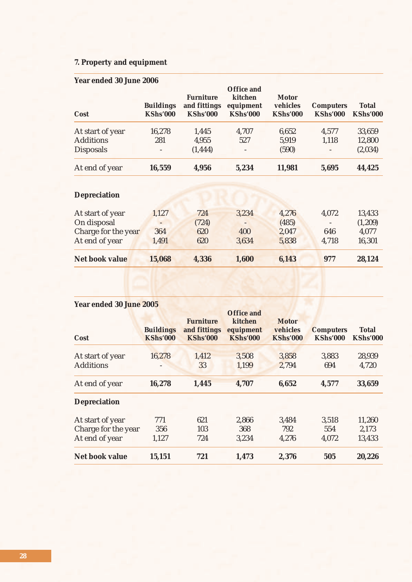### **7. Property and equipment**

### **Year ended 30 June 2006**

| Cost             | <b>Buildings</b><br><b>KShs'000</b> | <b>Furniture</b><br>and fittings<br><b>KShs'000</b> | <b>Office and</b><br>kitchen<br>equipment<br><b>KShs'000</b> | <b>Motor</b><br>vehicles<br><b>KShs'000</b> | <b>Computers</b><br><b>KShs'000</b> | <b>Total</b><br><b>KShs'000</b> |
|------------------|-------------------------------------|-----------------------------------------------------|--------------------------------------------------------------|---------------------------------------------|-------------------------------------|---------------------------------|
| At start of year | 16,278                              | 1,445                                               | 4,707                                                        | 6,652                                       | 4,577                               | 33,659                          |
| <b>Additions</b> | 281                                 | 4,955                                               | 527                                                          | 5,919                                       | 1,118                               | 12,800                          |
| <b>Disposals</b> |                                     | (1, 444)                                            | $\overline{\phantom{a}}$                                     | (590)                                       | $\overline{\phantom{0}}$            | (2,034)                         |
| At end of year   | 16,559                              | 4,956                                               | 5,234                                                        | 11,981                                      | 5,695                               | 44,425                          |

### **Depreciation**

| Net book value      | 15,068 | 4,336 | 1,600 | 6,143 | 977                      | 28,124  |
|---------------------|--------|-------|-------|-------|--------------------------|---------|
| At end of year      | 1,491  | 620   | 3.634 | 5,838 | 4.718                    | 16,301  |
| Charge for the year | 364    | 620   | 400   | 2,047 | 646                      | 4,077   |
| On disposal         |        | (724) |       | (485) | $\overline{\phantom{a}}$ | (1,209) |
| At start of year    | 1,127  | 724   | 3,234 | 4,276 | 4,072                    | 13,433  |
|                     |        |       |       |       |                          |         |

### **Year ended 30 June 2005**

| Cost                  | <b>Buildings</b><br><b>KShs'000</b> | <b>Furniture</b><br>and fittings<br><b>KShs'000</b> | <b>Office and</b><br>kitchen<br>equipment<br><b>KShs'000</b> | <b>Motor</b><br>vehicles<br><b>KShs'000</b> | <b>Computers</b><br><b>KShs'000</b> | <b>Total</b><br><b>KShs'000</b> |
|-----------------------|-------------------------------------|-----------------------------------------------------|--------------------------------------------------------------|---------------------------------------------|-------------------------------------|---------------------------------|
| At start of year      | 16,278                              | 1,412                                               | 3,508                                                        | 3,858                                       | 3,883                               | 28,939                          |
| <b>Additions</b>      |                                     | 33                                                  | 1,199                                                        | 2,794                                       | 694                                 | 4,720                           |
| At end of year        | 16,278                              | 1,445                                               | 4,707                                                        | 6,652                                       | 4,577                               | 33,659                          |
| <b>Depreciation</b>   |                                     |                                                     |                                                              |                                             |                                     |                                 |
| At start of year      | 771                                 | 621                                                 | 2,866                                                        | 3,484                                       | 3,518                               | 11,260                          |
| Charge for the year   | 356                                 | 103                                                 | 368                                                          | 792                                         | 554                                 | 2,173                           |
| At end of year        | 1,127                               | 724                                                 | 3,234                                                        | 4,276                                       | 4,072                               | 13,433                          |
| <b>Net book value</b> | 15,151                              | 721                                                 | 1,473                                                        | 2,376                                       | 505                                 | 20,226                          |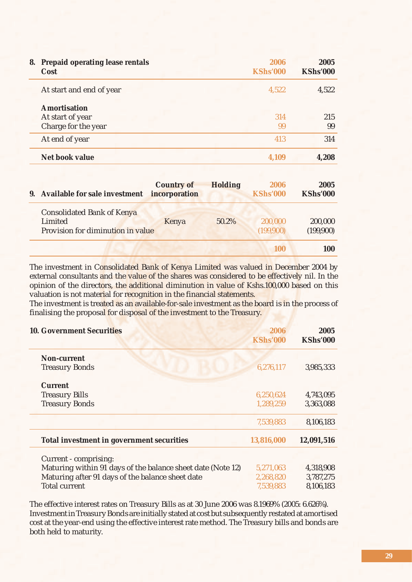| 8. | <b>Prepaid operating lease rentals</b><br>Cost | 2006<br><b>KShs'000</b> | 2005<br><b>KShs'000</b> |
|----|------------------------------------------------|-------------------------|-------------------------|
|    | At start and end of year                       | 4,522                   | 4,522                   |
|    | <b>Amortisation</b>                            |                         |                         |
|    | At start of year                               | 314                     | 215                     |
|    | Charge for the year                            | 99                      | 99                      |
|    | At end of year                                 | 413                     | 314                     |
|    | <b>Net book value</b>                          | 4.109                   | 4,208                   |

| 9. Available for sale investment                                                  | <b>Country of</b><br>incorporation | <b>Holding</b> | 2006<br><b>KShs'000</b> | 2005<br><b>KShs'000</b> |
|-----------------------------------------------------------------------------------|------------------------------------|----------------|-------------------------|-------------------------|
| <b>Consolidated Bank of Kenya</b><br>Limited<br>Provision for diminution in value | Kenya                              | 50.2%          | 200,000<br>(199,900)    | 200,000<br>(199,900)    |
|                                                                                   |                                    |                | 100                     | 100                     |

The investment in Consolidated Bank of Kenya Limited was valued in December 2004 by external consultants and the value of the shares was considered to be effectively nil. In the opinion of the directors, the additional diminution in value of Kshs.100,000 based on this valuation is not material for recognition in the financial statements.

The investment is treated as an available-for-sale investment as the board is in the process of finalising the proposal for disposal of the investment to the Treasury.

| <b>10. Government Securities</b>                            | 2006<br><b>KShs'000</b> | 2005<br><b>KShs'000</b> |
|-------------------------------------------------------------|-------------------------|-------------------------|
| <b>Non-current</b>                                          |                         |                         |
| <b>Treasury Bonds</b>                                       | 6,276,117               | 3,985,333               |
| <b>Current</b>                                              |                         |                         |
| <b>Treasury Bills</b>                                       | 6,250,624               | 4,743,095               |
| <b>Treasury Bonds</b>                                       | 1,289,259               | 3,363,088               |
|                                                             | 7,539,883               | 8,106,183               |
| Total investment in government securities                   | 13,816,000              | 12,091,516              |
| Current - comprising:                                       |                         |                         |
| Maturing within 91 days of the balance sheet date (Note 12) | 5,271,063               | 4,318,908               |
| Maturing after 91 days of the balance sheet date            | 2,268,820               | 3,787,275               |
| <b>Total current</b>                                        | 7,539,883               | 8,106,183               |

The effective interest rates on Treasury Bills as at 30 June 2006 was 8.1969% (2005: 6.626%). Investment in Treasury Bonds are initially stated at cost but subsequently restated at amortised cost at the year-end using the effective interest rate method. The Treasury bills and bonds are both held to maturity.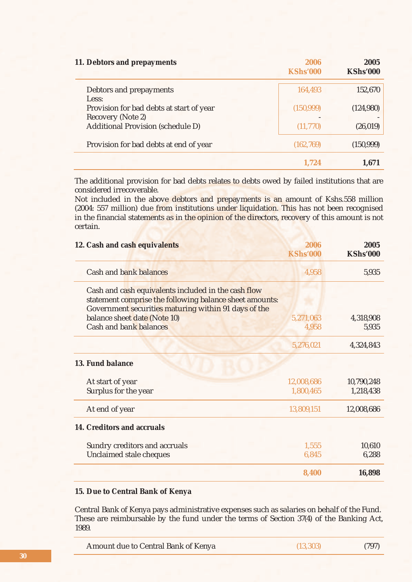| 11. Debtors and prepayments                            | 2006<br><b>KShs'000</b> | 2005<br><b>KShs'000</b> |
|--------------------------------------------------------|-------------------------|-------------------------|
| Debtors and prepayments                                | 164,493                 | 152,670                 |
| Less:<br>Provision for bad debts at start of year      | (150, 999)              | (124,980)               |
| Recovery (Note 2)<br>Additional Provision (schedule D) | (11,770)                | (26, 019)               |
| Provision for bad debts at end of year                 | (162, 769)              | (150, 999)              |
|                                                        | 1.724                   | 1.671                   |

The additional provision for bad debts relates to debts owed by failed institutions that are considered irrecoverable.

Not included in the above debtors and prepayments is an amount of Kshs.558 million (2004: 557 million) due from institutions under liquidation. This has not been recognised in the financial statements as in the opinion of the directors, recovery of this amount is not certain.

| 12. Cash and cash equivalents                                                                                                                                          | 2006<br><b>KShs'000</b> | 2005<br><b>KShs'000</b> |
|------------------------------------------------------------------------------------------------------------------------------------------------------------------------|-------------------------|-------------------------|
| Cash and bank balances                                                                                                                                                 | 4,958                   | 5,935                   |
| Cash and cash equivalents included in the cash flow<br>statement comprise the following balance sheet amounts:<br>Government securities maturing within 91 days of the |                         |                         |
| balance sheet date (Note 10)                                                                                                                                           | 5,271,063               | 4,318,908               |
| <b>Cash and bank balances</b>                                                                                                                                          | 4,958                   | 5,935                   |
|                                                                                                                                                                        | 5,276,021               | 4,324,843               |
| 13. Fund balance                                                                                                                                                       |                         |                         |
| At start of year                                                                                                                                                       | 12,008,686              | 10,790,248              |
| Surplus for the year                                                                                                                                                   | 1,800,465               | 1,218,438               |
| At end of year                                                                                                                                                         | 13,809,151              | 12,008,686              |
| 14. Creditors and accruals                                                                                                                                             |                         |                         |
| <b>Sundry creditors and accruals</b>                                                                                                                                   | 1,555                   | 10,610                  |
| Unclaimed stale cheques                                                                                                                                                | 6,845                   | 6,288                   |
|                                                                                                                                                                        | 8,400                   | 16,898                  |

### **15. Due to Central Bank of Kenya**

Central Bank of Kenya pays administrative expenses such as salaries on behalf of the Fund. These are reimbursable by the fund under the terms of Section 37(4) of the Banking Act, 1989.

| Amount due to Central Bank of Kenya | (13, 303) | (797) |
|-------------------------------------|-----------|-------|
|-------------------------------------|-----------|-------|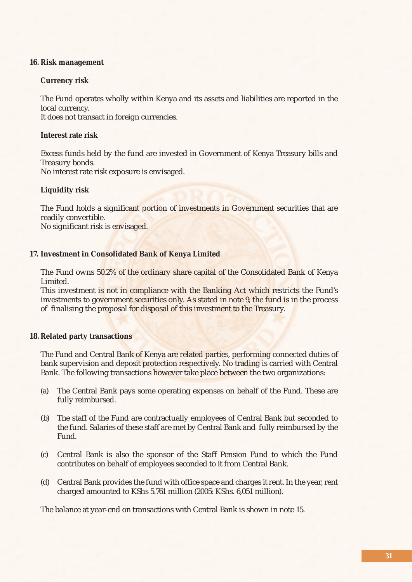### **16. Risk management**

### **Currency risk**

 The Fund operates wholly within Kenya and its assets and liabilities are reported in the local currency.

It does not transact in foreign currencies.

### **Interest rate risk**

 Excess funds held by the fund are invested in Government of Kenya Treasury bills and Treasury bonds.

No interest rate risk exposure is envisaged.

### **Liquidity risk**

 The Fund holds a significant portion of investments in Government securities that are readily convertible.

No significant risk is envisaged.

### **17. Investment in Consolidated Bank of Kenya Limited**

 The Fund owns 50.2% of the ordinary share capital of the Consolidated Bank of Kenya Limited.

 This investment is not in compliance with the Banking Act which restricts the Fund's investments to government securities only. As stated in note 9, the fund is in the process of finalising the proposal for disposal of this investment to the Treasury.

### **18. Related party transactions**

 The Fund and Central Bank of Kenya are related parties, performing connected duties of bank supervision and deposit protection respectively. No trading is carried with Central Bank. The following transactions however take place between the two organizations:

- (a) The Central Bank pays some operating expenses on behalf of the Fund. These are fully reimbursed.
- (b) The staff of the Fund are contractually employees of Central Bank but seconded to the fund. Salaries of these staff are met by Central Bank and fully reimbursed by the Fund.
- (c) Central Bank is also the sponsor of the Staff Pension Fund to which the Fund contributes on behalf of employees seconded to it from Central Bank.
- (d) Central Bank provides the fund with office space and charges it rent. In the year, rent charged amounted to KShs 5.761 million (2005: KShs. 6,051 million).

The balance at year-end on transactions with Central Bank is shown in note 15.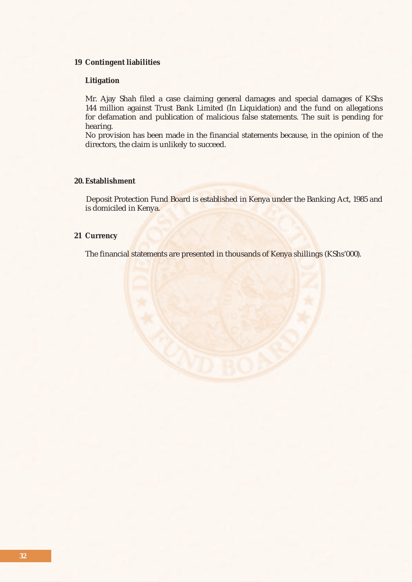### **19 Contingent liabilities**

### **Litigation**

 Mr. Ajay Shah filed a case claiming general damages and special damages of KShs 144 million against Trust Bank Limited (In Liquidation) and the fund on allegations for defamation and publication of malicious false statements. The suit is pending for hearing.

 No provision has been made in the financial statements because, in the opinion of the directors, the claim is unlikely to succeed.

### **20. Establishment**

 Deposit Protection Fund Board is established in Kenya under the Banking Act, 1985 and is domiciled in Kenya.

### **21 Currency**

The financial statements are presented in thousands of Kenya shillings (KShs'000).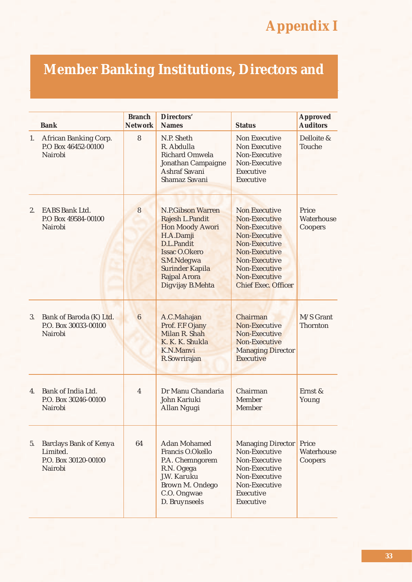# **Appendix I**

# **Member Banking Institutions, Directors and**

|    | <b>Bank</b>                                                                  | <b>Branch</b><br><b>Network</b> | <b>Directors'</b><br><b>Names</b>                                                                                                                                                                           | <b>Status</b>                                                                                                                                                                                     | <b>Approved</b><br><b>Auditors</b> |
|----|------------------------------------------------------------------------------|---------------------------------|-------------------------------------------------------------------------------------------------------------------------------------------------------------------------------------------------------------|---------------------------------------------------------------------------------------------------------------------------------------------------------------------------------------------------|------------------------------------|
| 1. | African Banking Corp.<br>P.O Box 46452-00100<br>Nairobi                      | 8                               | N.P. Sheth<br>R. Abdulla<br><b>Richard Omwela</b><br>Jonathan Campaigne<br>Ashraf Savani<br>Shamaz Savani                                                                                                   | <b>Non Executive</b><br>Non Executive<br>Non-Executive<br>Non-Executive<br>Executive<br>Executive                                                                                                 | Delloite &<br>Touche               |
| 2. | <b>EABS Bank Ltd.</b><br>P.O Box 49584-00100<br>Nairobi                      | 8                               | <b>N.P.Gibson Warren</b><br>Rajesh L.Pandit<br><b>Hon Moody Awori</b><br>H.A.Damji<br>D.L.Pandit<br><b>Issac O.Okero</b><br>S.M.Ndegwa<br><b>Surinder Kapila</b><br><b>Rajpal Arora</b><br>Digvijay B.Mehta | <b>Non Executive</b><br>Non-Executive<br>Non-Executive<br>Non-Executive<br>Non-Executive<br><b>Non-Executive</b><br>Non-Executive<br>Non-Executive<br>Non-Executive<br><b>Chief Exec. Officer</b> | Price<br>Waterhouse<br>Coopers     |
| 3. | Bank of Baroda (K) Ltd.<br>P.O. Box 30033-00100<br>Nairobi                   | 6                               | A.C.Mahajan<br>Prof. F.F Ojany<br>Milan R. Shah<br>K. K. K. Shukla<br>K.N.Manvi<br>R.Sowrirajan                                                                                                             | Chairman<br>Non-Executive<br>Non-Executive<br>Non-Executive<br><b>Managing Director</b><br><b>Executive</b>                                                                                       | M/S Grant<br>Thornton              |
| 4. | Bank of India Ltd.<br>P.O. Box 30246-00100<br>Nairobi                        | $\overline{4}$                  | Dr Manu Chandaria<br>John Kariuki<br>Allan Ngugi                                                                                                                                                            | Chairman<br>Member<br>Member                                                                                                                                                                      | Ernst &<br>Young                   |
| 5. | <b>Barclays Bank of Kenya</b><br>Limited.<br>P.O. Box 30120-00100<br>Nairobi | 64                              | <b>Adan Mohamed</b><br>Francis O.Okello<br>P.A. Chemngorem<br>R.N. Ogega<br>J.W. Karuku<br>Brown M. Ondego<br>C.O. Ongwae<br>D. Bruynseels                                                                  | <b>Managing Director</b><br>Non-Executive<br>Non-Executive<br>Non-Executive<br>Non-Executive<br>Non-Executive<br>Executive<br>Executive                                                           | Price<br>Waterhouse<br>Coopers     |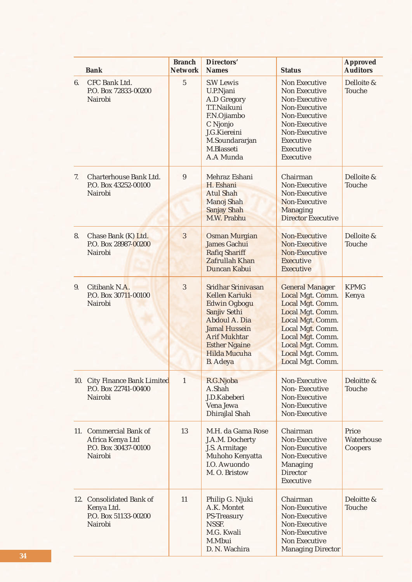|    | <b>Bank</b>                                                                   | <b>Branch</b><br><b>Network</b> | <b>Directors'</b><br><b>Names</b>                                                                                                                                                                             | <b>Status</b>                                                                                                                                                                                              | <b>Approved</b><br><b>Auditors</b> |
|----|-------------------------------------------------------------------------------|---------------------------------|---------------------------------------------------------------------------------------------------------------------------------------------------------------------------------------------------------------|------------------------------------------------------------------------------------------------------------------------------------------------------------------------------------------------------------|------------------------------------|
| 6. | CFC Bank Ltd.<br>P.O. Box 72833-00200<br>Nairobi                              | $\overline{5}$                  | <b>S.W Lewis</b><br>U.P.Njani<br>A.D Gregory<br>T.T.Naikuni<br>F.N.Ojiambo<br>C Njonjo<br>J.G.Kiereini<br>M.Soundararjan<br>M.Blasseti<br>A.A Munda                                                           | <b>Non Executive</b><br><b>Non Executive</b><br>Non-Executive<br>Non-Executive<br>Non-Executive<br>Non-Executive<br>Non-Executive<br>Executive<br>Executive<br>Executive                                   | Delloite &<br>Touche               |
| 7. | Charterhouse Bank Ltd.<br>P.O. Box 43252-00100<br>Nairobi                     | $\boldsymbol{9}$                | Mehraz Eshani<br>H. Eshani<br><b>Atul Shah</b><br><b>Manoj Shah</b><br><b>Sanjay Shah</b><br>M.W. Prabhu                                                                                                      | Chairman<br>Non-Executive<br>Non-Executive<br>Non-Executive<br>Managing<br><b>Director Executive</b>                                                                                                       | Delloite &<br>Touche               |
| 8. | Chase Bank (K) Ltd.<br>P.O. Box 28987-00200<br>Nairobi                        | 3                               | <b>Osman Murgian</b><br><b>James Gachui</b><br><b>Rafiq Shariff</b><br>Zafrullah Khan<br>Duncan Kabui                                                                                                         | Non-Executive<br>Non-Executive<br>Non-Executive<br><b>Executive</b><br><b>Executive</b>                                                                                                                    | Delloite &<br>Touche               |
| 9. | Citibank N.A.<br>P.O. Box 30711-00100<br>Nairobi                              | 3                               | Sridhar Srinivasan<br><b>Kellen Kariuki</b><br><b>Edwin Ogbogu</b><br>Sanjiv Sethi<br>Abdoul A. Dia<br><b>Jamal Hussein</b><br><b>Arif Mukhtar</b><br><b>Esther Ngaine</b><br>Hilda Mucuha<br><b>B.</b> Adeya | <b>General Manager</b><br>Local Mgt. Comm.<br>Local Mgt. Comm.<br>Local Mgt. Comm.<br>Local Mgt. Comm.<br>Local Mgt. Comm.<br>Local Mgt. Comm.<br>Local Mgt. Comm.<br>Local Mgt. Comm.<br>Local Mgt. Comm. | <b>KPMG</b><br>Kenya               |
|    | 10. City Finance Bank Limited<br>P.O. Box 22741-00400<br>Nairobi              | $\mathbf{1}$                    | R.G.Njoba<br>A.Shah<br>J.D.Kabeberi<br>Vena Jewa<br>Dhirajlal Shah                                                                                                                                            | Non-Executive<br>Non-Executive<br>Non-Executive<br>Non-Executive<br>Non-Executive                                                                                                                          | Deloitte &<br>Touche               |
|    | 11. Commercial Bank of<br>Africa Kenya Ltd<br>P.O. Box 30437-00100<br>Nairobi | 13                              | M.H. da Gama Rose<br>J.A.M. Docherty<br>J.S. Armitage<br>Muhoho Kenyatta<br>I.O. Awuondo<br>M. O. Bristow                                                                                                     | Chairman<br>Non-Executive<br>Non-Executive<br>Non-Executive<br>Managing<br><b>Director</b><br>Executive                                                                                                    | Price<br>Waterhouse<br>Coopers     |
|    | 12. Consolidated Bank of<br>Kenya Ltd.<br>P.O. Box 51133-00200<br>Nairobi     | 11                              | Philip G. Njuki<br>A.K. Montet<br>PS-Treasury<br>NSSF.<br>M.G. Kwali<br>M.Mbui<br>D. N. Wachira                                                                                                               | Chairman<br>Non-Executive<br>Non-Executive<br>Non-Executive<br>Non-Executive<br>Non Executive<br><b>Managing Director</b>                                                                                  | Deloitte &<br>Touche               |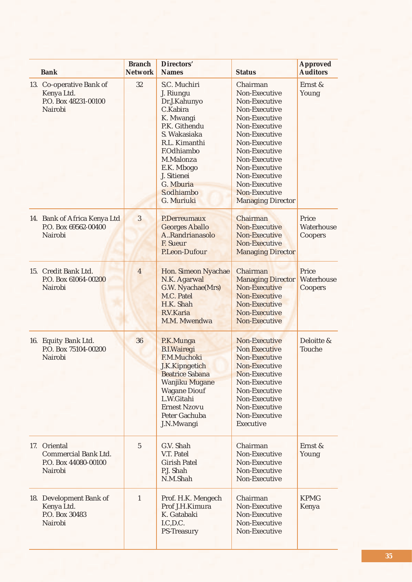| <b>Bank</b>                                                                    | <b>Branch</b><br><b>Network</b> | Directors'<br><b>Names</b>                                                                                                                                                                                                   | <b>Status</b>                                                                                                                                                                                                                                                     | <b>Approved</b><br><b>Auditors</b>    |
|--------------------------------------------------------------------------------|---------------------------------|------------------------------------------------------------------------------------------------------------------------------------------------------------------------------------------------------------------------------|-------------------------------------------------------------------------------------------------------------------------------------------------------------------------------------------------------------------------------------------------------------------|---------------------------------------|
| 13. Co-operative Bank of<br>Kenya Ltd.<br>P.O. Box 48231-00100<br>Nairobi      | 32                              | S.C. Muchiri<br>J. Riungu<br>Dr.J.Kahunyo<br>C.Kabira<br>K. Mwangi<br>P.K. Githendu<br>S. Wakasiaka<br>R.L. Kimanthi<br><b>F.Odhiambo</b><br>M.Malonza<br>E.K. Mbogo<br>J. Sitienei<br>G. Mburia<br>S.odhiambo<br>G. Muriuki | Chairman<br>Non-Executive<br>Non-Executive<br>Non-Executive<br>Non-Executive<br>Non-Executive<br>Non-Executive<br>Non-Executive<br>Non-Executive<br>Non-Executive<br>Non-Executive<br>Non-Executive<br>Non-Executive<br>Non-Executive<br><b>Managing Director</b> | Ernst &<br>Young                      |
| 14. Bank of Africa Kenya Ltd<br>P.O. Box 69562-00400<br>Nairobi                | $\overline{3}$                  | P.Derreumaux<br><b>Georges Aballo</b><br>A., Randrianasolo<br><b>F. Sueur</b><br>P.Leon-Dufour                                                                                                                               | Chairman<br>Non-Executive<br>Non-Executive<br>Non-Executive<br><b>Managing Director</b>                                                                                                                                                                           | Price<br>Waterhouse<br>Coopers        |
| 15. Credit Bank Ltd.<br>P.O. Box 61064-00200<br>Nairobi                        | $\overline{4}$                  | Hon. Simeon Nyachae<br>N.K. Agarwal<br>G.W. Nyachae(Mrs)<br>M.C. Patel<br>H.K. Shah<br>R.V.Karia<br>M.M. Mwendwa                                                                                                             | Chairman<br><b>Managing Director</b><br>Non-Executive<br>Non-Executive<br>Non-Executive<br>Non-Executive<br>Non-Executive                                                                                                                                         | Price<br>Waterhouse<br><b>Coopers</b> |
| 16. Equity Bank Ltd.<br>P.O. Box 75104-00200<br>Nairobi                        | 36                              | P.K.Munga<br><b>B.I.Wairegi</b><br>F.M.Muchoki<br>J.K.Kipngetich<br><b>Beatrice Sabana</b><br>Wanjiku Mugane<br><b>Wagane Diouf</b><br>L.W.Gitahi<br><b>Ernest Nzovu</b><br>Peter Gachuba<br>J.N.Mwangi                      | Non-Executive<br><b>Non Executive</b><br>Non-Executive<br>Non-Executive<br>Non-Executive<br>Non-Executive<br>Non-Executive<br>Non-Executive<br>Non-Executive<br>Non-Executive<br><b>Executive</b>                                                                 | Deloitte &<br>Touche                  |
| 17. Oriental<br><b>Commercial Bank Ltd.</b><br>P.O. Box 44080-00100<br>Nairobi | $\overline{5}$                  | G.V. Shah<br>V.T. Patel<br><b>Girish Patel</b><br>P.J. Shah<br>N.M.Shah                                                                                                                                                      | Chairman<br>Non-Executive<br>Non-Executive<br>Non-Executive<br>Non-Executive                                                                                                                                                                                      | Ernst &<br>Young                      |
| 18. Development Bank of<br>Kenya Ltd.<br>P.O. Box 30483<br>Nairobi             | $\mathbf{1}$                    | Prof. H.K. Mengech<br>Prof J.H.Kimura<br>K. Gatabaki<br>I.C, D.C.<br>PS-Treasury                                                                                                                                             | Chairman<br>Non-Executive<br>Non-Executive<br>Non-Executive<br>Non-Executive                                                                                                                                                                                      | <b>KPMG</b><br>Kenya                  |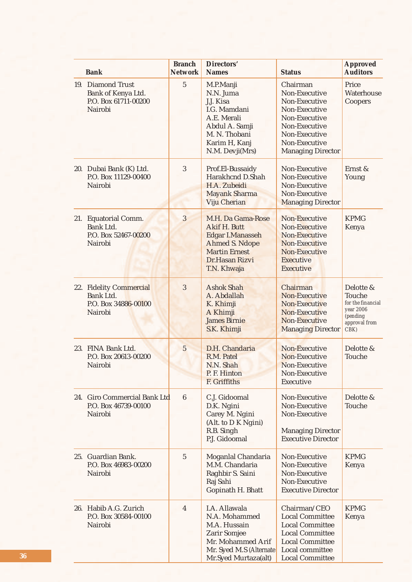| <b>Bank</b>                                                                                  | <b>Branch</b><br><b>Network</b> | <b>Directors'</b><br><b>Names</b>                                                                                                              | <b>Status</b>                                                                                                                                                     | <b>Approved</b><br><b>Auditors</b>                                                                |
|----------------------------------------------------------------------------------------------|---------------------------------|------------------------------------------------------------------------------------------------------------------------------------------------|-------------------------------------------------------------------------------------------------------------------------------------------------------------------|---------------------------------------------------------------------------------------------------|
| $\overline{5}$<br>19. Diamond Trust<br>Bank of Kenya Ltd.<br>P.O. Box 61711-00200<br>Nairobi |                                 | M.P.Manji<br>N.N. Juma<br>J.J. Kisa<br>I.G. Mamdani<br>A.E. Merali<br>Abdul A. Samji<br>M. N. Thobani<br>Karim H, Kanj<br>N.M. Devji(Mrs)      | Chairman<br>Non-Executive<br>Non-Executive<br>Non-Executive<br>Non-Executive<br>Non-Executive<br>Non-Executive<br>Non-Executive<br><b>Managing Director</b>       | Price<br>Waterhouse<br>Coopers                                                                    |
| 20. Dubai Bank (K) Ltd.<br>P.O. Box 11129-00400<br>Nairobi                                   | 3                               | Prof.El-Bussaidy<br>Harakhcnd D.Shah<br>H.A. Zubeidi<br><b>Mayank Sharma</b><br><b>Viju Cherian</b>                                            | Non-Executive<br>Non-Executive<br>Non-Executive<br>Non-Executive<br><b>Managing Director</b>                                                                      | Ernst &<br>Young                                                                                  |
| 21. Equatorial Comm.<br>Bank Ltd.<br>P.O. Box 52467-00200<br>Nairobi                         | $\overline{3}$                  | M.H. Da Gama-Rose<br>Akif H. Butt<br><b>Edgar I.Manasseh</b><br><b>Ahmed S. Ndope</b><br><b>Martin Ernest</b><br>Dr.Hasan Rizvi<br>T.N. Khwaja | Non-Executive<br>Non-Executive<br>Non-Executive<br>Non-Executive<br><b>Non-Executive</b><br><b>Executive</b><br><b>Executive</b>                                  | <b>KPMG</b><br>Kenya                                                                              |
| 22. Fidelity Commercial<br>Bank Ltd.<br>P.O. Box 34886-00100<br>Nairobi                      | 3                               | <b>Ashok Shah</b><br>A. Abdallah<br>K. Khimji<br>A Khimji<br><b>James Birnie</b><br>S.K. Khimji                                                | Chairman<br>Non-Executive<br>Non-Executive<br>Non-Executive<br>Non-Executive<br><b>Managing Director</b>                                                          | Delotte &<br>Touche<br>for the financial<br>year 2006<br><i>(pending</i><br>approval from<br>CBK) |
| 23. FINA Bank Ltd.<br>P.O. Box 20613-00200<br>Nairobi                                        | $\overline{5}$                  | D.H. Chandaria<br>R.M. Patel<br>N.N. Shah<br>P. F. Hinton<br>F. Griffiths                                                                      | Non-Executive<br>Non-Executive<br>Non-Executive<br>Non-Executive<br>Executive                                                                                     | Delotte &<br>Touche                                                                               |
| 24. Giro Commercial Bank Ltd<br>P.O. Box 46739-00100<br>Nairobi                              | $6\phantom{.}6$                 | C.J. Gidoomal<br>D.K. Ngini<br>Carey M. Ngini<br>(Alt. to D K Ngini)<br>R.B. Singh<br>P.J. Gidoomal                                            | Non-Executive<br>Non-Executive<br>Non-Executive<br><b>Managing Director</b><br><b>Executive Director</b>                                                          | Delotte &<br>Touche                                                                               |
| 25. Guardian Bank.<br>P.O. Box 46983-00200<br>Nairobi                                        | $\mathbf 5$                     | Moganlal Chandaria<br>M.M. Chandaria<br>Raghbir S. Saini<br>Raj Sahi<br>Gopinath H. Bhatt                                                      | Non-Executive<br>Non-Executive<br>Non-Executive<br>Non-Executive<br><b>Executive Director</b>                                                                     | <b>KPMG</b><br>Kenya                                                                              |
| 26. Habib A.G. Zurich<br>P.O. Box 30584-00100<br>Nairobi                                     | $\overline{4}$                  | I.A. Allawala<br>N.A. Mohammed<br>M.A. Hussain<br><b>Zarir Somjee</b><br>Mr. Mohammed Arif<br>Mr. Syed M.S (Alternate<br>Mr.Syed Murtaza(alt)  | Chairman/CEO<br><b>Local Committee</b><br><b>Local Committee</b><br><b>Local Committee</b><br><b>Local Committee</b><br>Local committee<br><b>Local Committee</b> | <b>KPMG</b><br>Kenya                                                                              |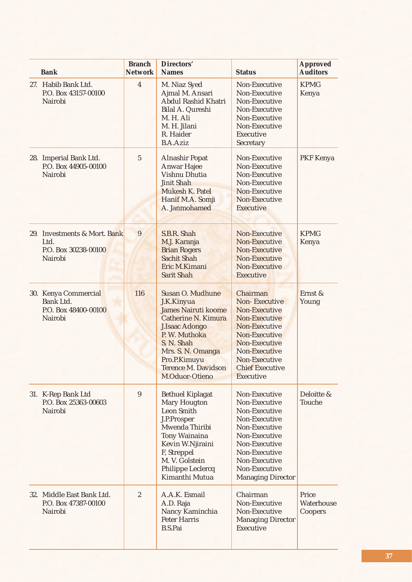| <b>Bank</b>                                                             | <b>Branch</b><br><b>Network</b> | <b>Directors'</b><br><b>Names</b>                                                                                                                                                                                                | <b>Status</b>                                                                                                                                                                                         | <b>Approved</b><br><b>Auditors</b> |
|-------------------------------------------------------------------------|---------------------------------|----------------------------------------------------------------------------------------------------------------------------------------------------------------------------------------------------------------------------------|-------------------------------------------------------------------------------------------------------------------------------------------------------------------------------------------------------|------------------------------------|
| 27. Habib Bank Ltd.<br>P.O. Box 43157-00100<br>Nairobi                  | $\overline{4}$                  | M. Niaz Syed<br>Ajmal M. Ansari<br>Abdul Rashid Khatri<br>Bilal A. Qureshi<br>M. H. Ali<br>M. H. Jilani<br>R. Haider<br><b>B.A.Aziz</b>                                                                                          | Non-Executive<br>Non-Executive<br>Non-Executive<br>Non-Executive<br>Non-Executive<br>Non-Executive<br>Executive<br>Secretary                                                                          | <b>KPMG</b><br>Kenya               |
| 28. Imperial Bank Ltd.<br>P.O. Box 44905-00100<br>Nairobi               | 5                               | <b>Alnashir Popat</b><br><b>Anwar Hajee</b><br>Vishnu Dhutia<br><b>Jinit Shah</b><br>Mukesh K. Patel<br>Hanif M.A. Somji<br>A. Janmohamed                                                                                        | Non-Executive<br>Non-Executive<br>Non-Executive<br>Non-Executive<br>Non-Executive<br>Non-Executive<br><b>Executive</b>                                                                                | PKF Kenya                          |
| 29. Investments & Mort. Bank<br>Ltd.<br>P.O. Box 30238-00100<br>Nairobi | 9                               | S.B.R. Shah<br>M.J. Karanja<br><b>Brian Rogers</b><br><b>Sachit Shah</b><br>Eric M.Kimani<br><b>Sarit Shah</b>                                                                                                                   | Non-Executive<br>Non-Executive<br>Non-Executive<br>Non-Executive<br>Non-Executive<br><b>Executive</b>                                                                                                 | <b>KPMG</b><br>Kenya               |
| 30. Kenya Commercial<br>Bank Ltd.<br>P.O. Box 48400-00100<br>Nairobi    | 116                             | Susan O. Mudhune<br>J.K.Kinyua<br><b>James Nairuti koome</b><br><b>Catherine N. Kimura</b><br><b>J.Isaac Adongo</b><br>P. W. Muthoka<br>S. N. Shah<br>Mrs. S. N. Omanga<br>Pro.P.Kimuyu<br>Terence M. Davidson<br>M.Oduor-Otieno | Chairman<br><b>Non-Executive</b><br>Non-Executive<br>Non-Executive<br>Non-Executive<br>Non-Executive<br>Non-Executive<br>Non-Executive<br>Non-Executive<br><b>Chief Executive</b><br><b>Executive</b> | Ernst &<br>Young                   |
| 31. K-Rep Bank Ltd<br>P.O. Box 25363-00603<br>Nairobi                   | 9                               | <b>Bethuel Kiplagat</b><br><b>Mary Hougton</b><br><b>Leon Smith</b><br>J.P.Prosper<br>Mwenda Thiribi<br><b>Tony Wainaina</b><br>Kevin W.Njiraini<br>F, Streppel<br>M. V. Golstein<br>Philippe Leclercq<br>Kimanthi Mutua         | Non-Executive<br>Non-Executive<br>Non-Executive<br>Non-Executive<br>Non-Executive<br>Non-Executive<br>Non-Executive<br>Non-Executive<br>Non-Executive<br>Non-Executive<br><b>Managing Director</b>    | Deloitte &<br>Touche               |
| 32. Middle East Bank Ltd.<br>P.O. Box 47387-00100<br>Nairobi            | $\sqrt{2}$                      | A.A.K. Esmail<br>A.D. Raja<br>Nancy Kaminchia<br><b>Peter Harris</b><br><b>B.S.Pai</b>                                                                                                                                           | Chairman<br>Non-Executive<br>Non-Executive<br><b>Managing Director</b><br>Executive                                                                                                                   | Price<br>Waterhouse<br>Coopers     |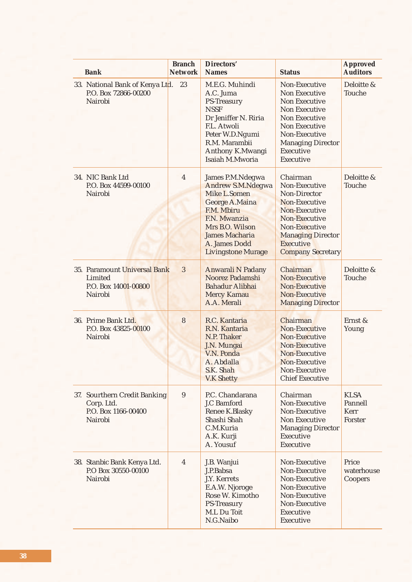| <b>Bank</b>                                                                  | <b>Branch</b><br><b>Network</b> | <b>Directors'</b><br><b>Names</b>                                                                                                                                                                      | <b>Status</b>                                                                                                                                                                                  | <b>Approved</b><br><b>Auditors</b>               |
|------------------------------------------------------------------------------|---------------------------------|--------------------------------------------------------------------------------------------------------------------------------------------------------------------------------------------------------|------------------------------------------------------------------------------------------------------------------------------------------------------------------------------------------------|--------------------------------------------------|
| 33. National Bank of Kenya Ltd. 23<br>P.O. Box 72866-00200<br>Nairobi        |                                 | M.E.G. Muhindi<br>A.C. Juma<br><b>PS-Treasury</b><br><b>NSSF</b><br>Dr Jeniffer N. Riria<br>F.L. Atwoli<br>Peter W.D.Ngumi<br>R.M. Marambii<br>Anthony K.Mwangi<br>Isaiah M.Mworia                     | Non-Executive<br>Non Executive<br><b>Non Executive</b><br>Non Executive<br>Non Executive<br><b>Non Executive</b><br>Non-Executive<br><b>Managing Director</b><br><b>Executive</b><br>Executive | Deloitte &<br>Touche                             |
| 34. NIC Bank Ltd<br>P.O. Box 44599-00100<br>Nairobi                          | $\overline{4}$                  | James P.M.Ndegwa<br><b>Andrew S.M.Ndegwa</b><br>Mike L.Somen<br><b>George A.Maina</b><br>F.M. Mbiru<br>F.N. Mwanzia<br>Mrs B.O. Wilson<br>James Macharia<br>A. James Dodd<br><b>Livingstone Murage</b> | Chairman<br>Non-Executive<br>Non-Director<br>Non-Executive<br>Non-Executive<br>Non-Executive<br>Non-Executive<br><b>Managing Director</b><br><b>Executive</b><br><b>Company Secretary</b>      | Deloitte &<br>Touche                             |
| 35. Paramount Universal Bank<br>Limited<br>P.O. Box 14001-00800<br>Nairobi   | 3                               | <b>Anwarali N Padany</b><br>Noorez Padamshi<br><b>Bahadur Alibhai</b><br><b>Mercy Kamau</b><br>A.A. Merali                                                                                             | Chairman<br>Non-Executive<br>Non-Executive<br>Non-Executive<br><b>Managing Director</b>                                                                                                        | Deloitte &<br>Touche                             |
| 36. Prime Bank Ltd.<br>P.O. Box 43825-00100<br>Nairobi                       | 8                               | R.C. Kantaria<br>R.N. Kantaria<br>N.P. Thaker<br>J.N. Mungai<br>V.N. Ponda<br>A. Abdalla<br>S.K. Shah<br><b>V.K Shetty</b>                                                                             | Chairman<br>Non-Executive<br>Non-Executive<br>Non-Executive<br>Non-Executive<br>Non-Executive<br>Non-Executive<br><b>Chief Executive</b>                                                       | Ernst &<br>Young                                 |
| 37. Sourthern Credit Banking<br>Corp. Ltd.<br>P.O. Box 1166-00400<br>Nairobi | 9                               | P.C. Chandarana<br>J.C Bamford<br>Renee K.Blasky<br>Shashi Shah<br>C.M.Kuria<br>A.K. Kurji<br>A. Yousuf                                                                                                | Chairman<br>Non-Executive<br>Non-Executive<br>Non Executive<br><b>Managing Director</b><br>Executive<br>Executive                                                                              | <b>KLSA</b><br>Pannell<br><b>Kerr</b><br>Forster |
| 38. Stanbic Bank Kenya Ltd.<br>P.O Box 30550-00100<br>Nairobi                | $\overline{4}$                  | J.B. Wanjui<br>J.P.Babsa<br>J.Y. Kerrets<br>E.A.W. Njoroge<br>Rose W. Kimotho<br>PS-Treasury<br>M.L Du Toit<br>N.G.Naibo                                                                               | Non-Executive<br>Non-Executive<br>Non-Executive<br>Non-Executive<br>Non-Executive<br>Non-Executive<br>Executive<br>Executive                                                                   | Price<br>waterhouse<br>Coopers                   |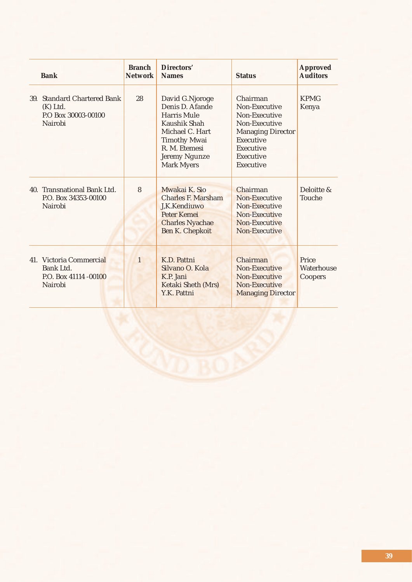| <b>Bank</b>                                                                 | <b>Branch</b><br><b>Network</b> | Directors'<br><b>Names</b>                                                                                                                                         | <b>Status</b>                                                                                                                               | <b>Approved</b><br><b>Auditors</b> |
|-----------------------------------------------------------------------------|---------------------------------|--------------------------------------------------------------------------------------------------------------------------------------------------------------------|---------------------------------------------------------------------------------------------------------------------------------------------|------------------------------------|
| 39. Standard Chartered Bank<br>$(K)$ Ltd.<br>P.O Box 30003-00100<br>Nairobi | 28                              | David G.Njoroge<br>Denis D. Afande<br>Harris Mule<br>Kaushik Shah<br>Michael C. Hart<br><b>Timothy Mwai</b><br>R. M. Etemesi<br>Jeremy Ngunze<br><b>Mark Myers</b> | Chairman<br>Non-Executive<br>Non-Executive<br>Non-Executive<br><b>Managing Director</b><br>Executive<br>Executive<br>Executive<br>Executive | <b>KPMG</b><br>Kenya               |
| 40. Transnational Bank Ltd.<br>P.O. Box 34353-00100<br>Nairobi              | 8                               | Mwakai K. Sio<br><b>Charles F. Marsham</b><br>J,K.Kendiuwo<br><b>Peter Kemei</b><br><b>Charles Nyachae</b><br><b>Ben K. Chepkoit</b>                               | Chairman<br>Non-Executive<br>Non-Executive<br>Non-Executive<br>Non-Executive<br>Non-Executive                                               | Deloitte &<br><b>Touche</b>        |
| 41. Victoria Commercial<br>Bank Ltd.<br>P.O. Box 41114 -00100<br>Nairobi    | $\mathbf{1}$                    | K.D. Pattni<br>Silvano O. Kola<br>K.P. Jani<br>Ketaki Sheth (Mrs)<br>Y.K. Pattni                                                                                   | Chairman<br>Non-Executive<br>Non-Executive<br>Non-Executive<br><b>Managing Director</b>                                                     | Price<br>Waterhouse<br>Coopers     |